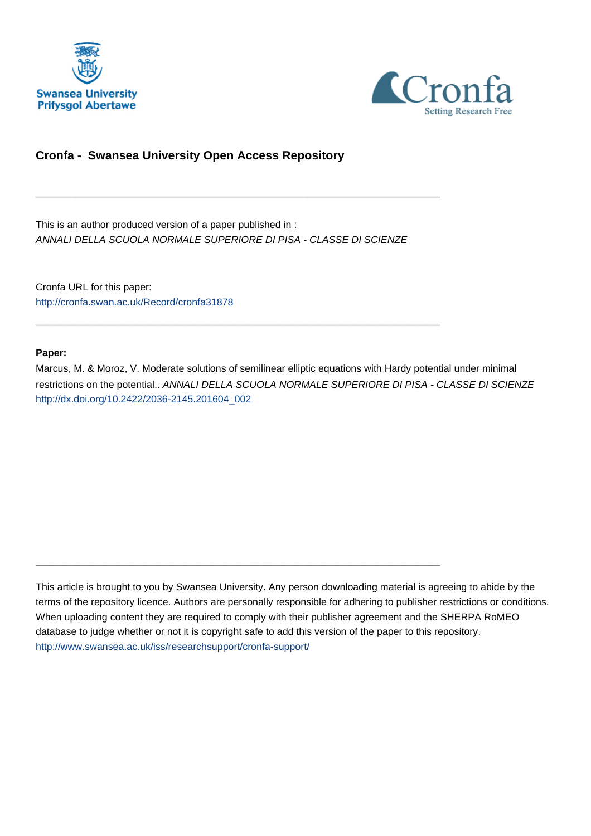



# **Cronfa - Swansea University Open Access Repository**

This is an author produced version of a paper published in : ANNALI DELLA SCUOLA NORMALE SUPERIORE DI PISA - CLASSE DI SCIENZE

\_\_\_\_\_\_\_\_\_\_\_\_\_\_\_\_\_\_\_\_\_\_\_\_\_\_\_\_\_\_\_\_\_\_\_\_\_\_\_\_\_\_\_\_\_\_\_\_\_\_\_\_\_\_\_\_\_\_\_\_\_

\_\_\_\_\_\_\_\_\_\_\_\_\_\_\_\_\_\_\_\_\_\_\_\_\_\_\_\_\_\_\_\_\_\_\_\_\_\_\_\_\_\_\_\_\_\_\_\_\_\_\_\_\_\_\_\_\_\_\_\_\_

 $\_$  , and the set of the set of the set of the set of the set of the set of the set of the set of the set of the set of the set of the set of the set of the set of the set of the set of the set of the set of the set of th

Cronfa URL for this paper: <http://cronfa.swan.ac.uk/Record/cronfa31878>

## **Paper:**

Marcus, M. & Moroz, V. Moderate solutions of semilinear elliptic equations with Hardy potential under minimal restrictions on the potential.. ANNALI DELLA SCUOLA NORMALE SUPERIORE DI PISA - CLASSE DI SCIENZE [http://dx.doi.org/10.2422/2036-2145.201604\\_002](http://dx.doi.org/10.2422/2036-2145.201604_002)

This article is brought to you by Swansea University. Any person downloading material is agreeing to abide by the terms of the repository licence. Authors are personally responsible for adhering to publisher restrictions or conditions. When uploading content they are required to comply with their publisher agreement and the SHERPA RoMEO database to judge whether or not it is copyright safe to add this version of the paper to this repository. [http://www.swansea.ac.uk/iss/researchsupport/cronfa-support/](http://www.swansea.ac.uk/iss/researchsupport/cronfa-support/ )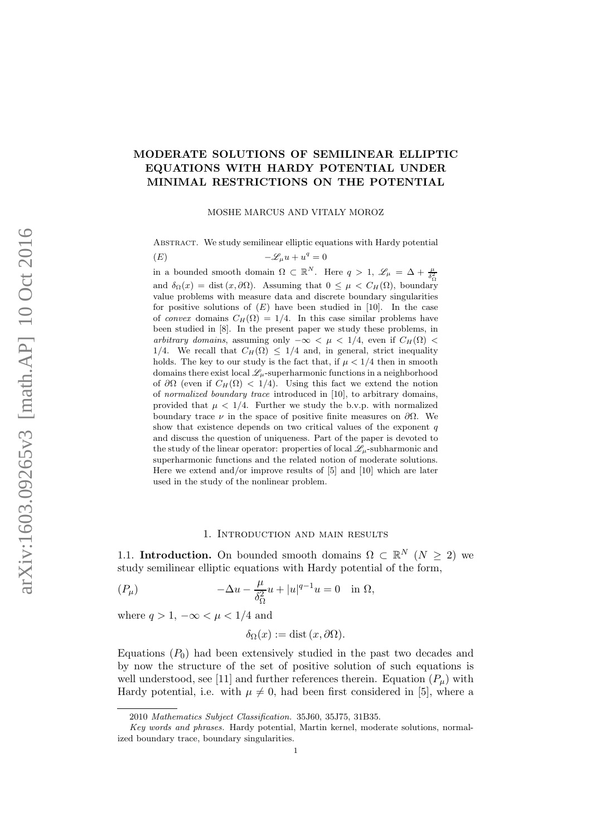# MODERATE SOLUTIONS OF SEMILINEAR ELLIPTIC EQUATIONS WITH HARDY POTENTIAL UNDER MINIMAL RESTRICTIONS ON THE POTENTIAL

MOSHE MARCUS AND VITALY MOROZ

ABSTRACT. We study semilinear elliptic equations with Hardy potential

$$
(E) \qquad \qquad -\mathscr{L}_{\mu}u + u^{q} = 0
$$

in a bounded smooth domain  $\Omega \subset \mathbb{R}^N$ . Here  $q > 1$ ,  $\mathscr{L}_{\mu} = \Delta + \frac{\mu}{\delta_{\Omega}^2}$ 

and  $\delta_{\Omega}(x) = \text{dist}(x, \partial \Omega)$ . Assuming that  $0 \leq \mu < C_H(\Omega)$ , boundary value problems with measure data and discrete boundary singularities for positive solutions of  $(E)$  have been studied in [10]. In the case of convex domains  $C_H(\Omega) = 1/4$ . In this case similar problems have been studied in [8]. In the present paper we study these problems, in arbitrary domains, assuming only  $-\infty < \mu < 1/4$ , even if  $C_H(\Omega) <$ 1/4. We recall that  $C_H(\Omega) \leq 1/4$  and, in general, strict inequality holds. The key to our study is the fact that, if  $\mu < 1/4$  then in smooth domains there exist local  $\mathscr{L}_{\mu}$ -superharmonic functions in a neighborhood of  $\partial\Omega$  (even if  $C_H(\Omega) < 1/4$ ). Using this fact we extend the notion of normalized boundary trace introduced in [10], to arbitrary domains, provided that  $\mu < 1/4$ . Further we study the b.v.p. with normalized boundary trace  $\nu$  in the space of positive finite measures on  $\partial\Omega$ . We show that existence depends on two critical values of the exponent  $q$ and discuss the question of uniqueness. Part of the paper is devoted to the study of the linear operator: properties of local  $\mathscr{L}_{\mu}$ -subharmonic and superharmonic functions and the related notion of moderate solutions. Here we extend and/or improve results of [5] and [10] which are later used in the study of the nonlinear problem.

#### 1. Introduction and main results

1.1. Introduction. On bounded smooth domains  $\Omega \subset \mathbb{R}^N$   $(N \geq 2)$  we study semilinear elliptic equations with Hardy potential of the form,

$$
(P_{\mu}) \qquad \qquad -\Delta u - \frac{\mu}{\delta_{\Omega}^{2}} u + |u|^{q-1} u = 0 \quad \text{in } \Omega,
$$

where  $q > 1$ ,  $-\infty < \mu < 1/4$  and

$$
\delta_{\Omega}(x) := \text{dist}\,(x,\partial\Omega).
$$

Equations  $(P_0)$  had been extensively studied in the past two decades and by now the structure of the set of positive solution of such equations is well understood, see [11] and further references therein. Equation  $(P_\mu)$  with Hardy potential, i.e. with  $\mu \neq 0$ , had been first considered in [5], where a

<sup>2010</sup> Mathematics Subject Classification. 35J60, 35J75, 31B35.

Key words and phrases. Hardy potential, Martin kernel, moderate solutions, normalized boundary trace, boundary singularities.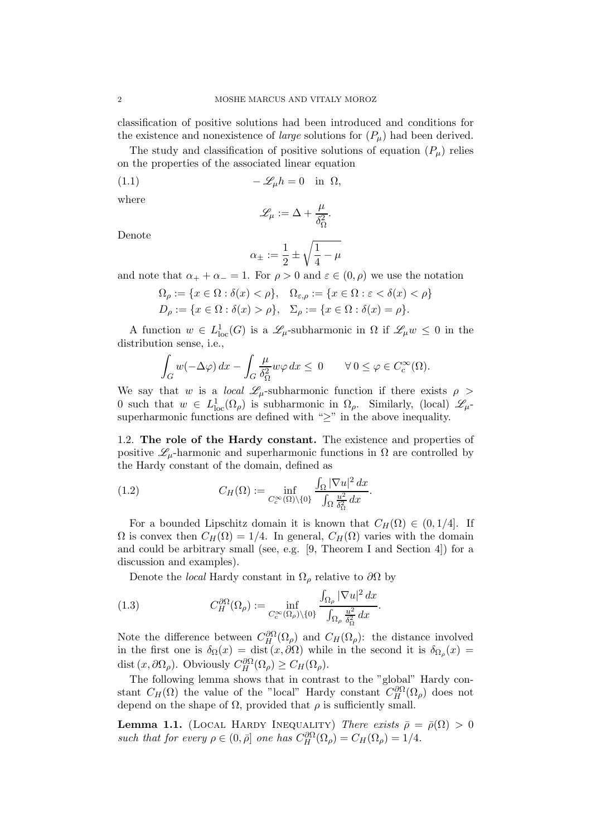classification of positive solutions had been introduced and conditions for the existence and nonexistence of *large* solutions for  $(P_\mu)$  had been derived.

The study and classification of positive solutions of equation  $(P_\mu)$  relies on the properties of the associated linear equation

(1.1) 
$$
-\mathscr{L}_{\mu}h=0 \text{ in } \Omega,
$$

where

$$
\mathscr{L}_\mu := \Delta + \frac{\mu}{\delta_\Omega^2}.
$$

Denote

$$
\alpha_\pm:=\frac{1}{2}\pm\sqrt{\frac{1}{4}-\mu}
$$

and note that  $\alpha_+ + \alpha_- = 1$ . For  $\rho > 0$  and  $\varepsilon \in (0, \rho)$  we use the notation

$$
\Omega_{\rho} := \{ x \in \Omega : \delta(x) < \rho \}, \quad \Omega_{\varepsilon,\rho} := \{ x \in \Omega : \varepsilon < \delta(x) < \rho \}
$$
\n
$$
D_{\rho} := \{ x \in \Omega : \delta(x) > \rho \}, \quad \Sigma_{\rho} := \{ x \in \Omega : \delta(x) = \rho \}.
$$

A function  $w \in L^1_{loc}(G)$  is a  $\mathscr{L}_{\mu}$ -subharmonic in  $\Omega$  if  $\mathscr{L}_{\mu}w \leq 0$  in the distribution sense, i.e.,

$$
\int_G w(-\Delta \varphi) dx - \int_G \frac{\mu}{\delta \Omega} w \varphi dx \leq 0 \qquad \forall \, 0 \leq \varphi \in C_c^{\infty}(\Omega).
$$

We say that w is a *local*  $\mathscr{L}_{\mu}$ -subharmonic function if there exists  $\rho >$ 0 such that  $w \in L^1_{loc}(\Omega_\rho)$  is subharmonic in  $\Omega_\rho$ . Similarly, (local)  $\mathscr{L}_{\mu}$ superharmonic functions are defined with " $\geq$ " in the above inequality.

1.2. The role of the Hardy constant. The existence and properties of positive  $\mathscr{L}_{\mu}$ -harmonic and superharmonic functions in  $\Omega$  are controlled by the Hardy constant of the domain, defined as

(1.2) 
$$
C_H(\Omega) := \inf_{C_c^{\infty}(\Omega) \backslash \{0\}} \frac{\int_{\Omega} |\nabla u|^2 dx}{\int_{\Omega} \frac{u^2}{\delta_{\Omega}^2} dx}.
$$

For a bounded Lipschitz domain it is known that  $C_H(\Omega) \in (0,1/4]$ . If  $\Omega$  is convex then  $C_H(\Omega) = 1/4$ . In general,  $C_H(\Omega)$  varies with the domain and could be arbitrary small (see, e.g. [9, Theorem I and Section 4]) for a discussion and examples).

Denote the *local* Hardy constant in  $\Omega_{\rho}$  relative to  $\partial\Omega$  by

(1.3) 
$$
C_H^{\partial\Omega}(\Omega_\rho) := \inf_{C_c^{\infty}(\Omega_\rho)\setminus\{0\}} \frac{\int_{\Omega_\rho} |\nabla u|^2 dx}{\int_{\Omega_\rho} \frac{u^2}{\delta_{\Omega}^2} dx}.
$$

Note the difference between  $C_H^{\partial\Omega}(\Omega_\rho)$  and  $C_H(\Omega_\rho)$ : the distance involved in the first one is  $\delta_{\Omega}(x) = \text{dist}(x, \partial \Omega)$  while in the second it is  $\delta_{\Omega_{\rho}}(x) =$ dist  $(x, \partial \Omega_{\rho})$ . Obviously  $C_H^{\partial \Omega}(\Omega_{\rho}) \geq C_H(\Omega_{\rho})$ .

The following lemma shows that in contrast to the "global" Hardy constant  $C_H(\Omega)$  the value of the "local" Hardy constant  $C_H^{\partial\Omega}(\Omega_\rho)$  does not depend on the shape of  $\Omega$ , provided that  $\rho$  is sufficiently small.

**Lemma 1.1.** (LOCAL HARDY INEQUALITY) *There exists*  $\bar{\rho} = \bar{\rho}(\Omega) > 0$ *such that for every*  $\rho \in (0, \bar{\rho}]$  *one has*  $C_H^{\partial\Omega}(\Omega_\rho) = C_H(\Omega_\rho) = 1/4$ .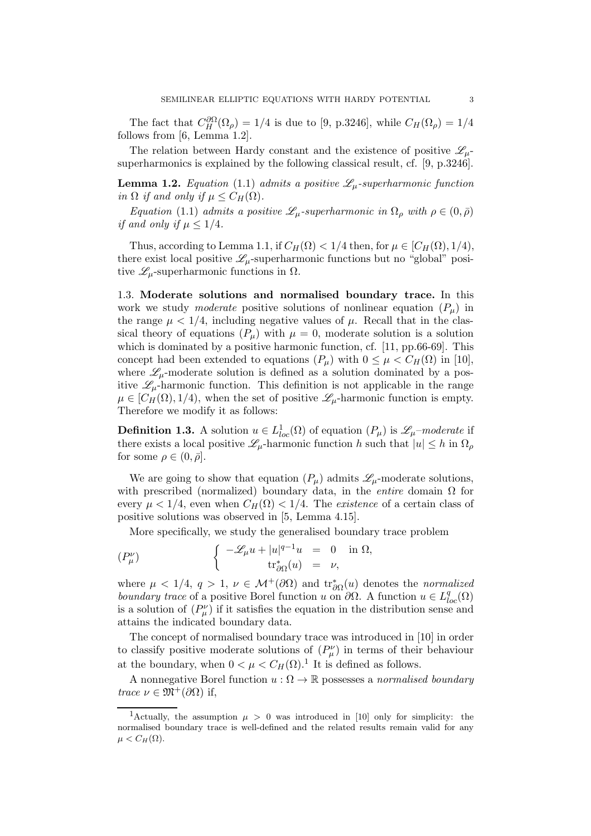The fact that  $C_H^{\partial\Omega}(\Omega_\rho) = 1/4$  is due to [9, p.3246], while  $C_H(\Omega_\rho) = 1/4$ follows from [6, Lemma 1.2].

The relation between Hardy constant and the existence of positive  $\mathscr{L}_{\mu}$ superharmonics is explained by the following classical result, cf. [9, p.3246].

**Lemma 1.2.** *Equation* (1.1) *admits a positive*  $\mathscr{L}_{\mu}$ -superharmonic function *in*  $\Omega$  *if and only if*  $\mu \leq C_H(\Omega)$ *.* 

*Equation* (1.1) *admits a positive*  $\mathscr{L}_{\mu}$ -superharmonic in  $\Omega_{\rho}$  with  $\rho \in (0, \bar{\rho})$ *if and only if*  $\mu \leq 1/4$ *.* 

Thus, according to Lemma 1.1, if  $C_H(\Omega) < 1/4$  then, for  $\mu \in [C_H(\Omega), 1/4)$ , there exist local positive  $\mathscr{L}_{\mu}$ -superharmonic functions but no "global" positive  $\mathscr{L}_{\mu}$ -superharmonic functions in  $\Omega$ .

1.3. Moderate solutions and normalised boundary trace. In this work we study *moderate* positive solutions of nonlinear equation  $(P_u)$  in the range  $\mu < 1/4$ , including negative values of  $\mu$ . Recall that in the classical theory of equations  $(P_\mu)$  with  $\mu = 0$ , moderate solution is a solution which is dominated by a positive harmonic function, cf. [11, pp.66-69]. This concept had been extended to equations  $(P_\mu)$  with  $0 \leq \mu < C_H(\Omega)$  in [10], where  $\mathcal{L}_{\mu}$ -moderate solution is defined as a solution dominated by a positive  $\mathscr{L}_{\mu}$ -harmonic function. This definition is not applicable in the range  $\mu \in [C_H(\Omega), 1/4)$ , when the set of positive  $\mathscr{L}_{\mu}$ -harmonic function is empty. Therefore we modify it as follows:

**Definition 1.3.** A solution  $u \in L^1_{loc}(\Omega)$  of equation  $(P_\mu)$  is  $\mathscr{L}_{\mu}$ *-moderate* if there exists a local positive  $\mathscr{L}_{\mu}$ -harmonic function h such that  $|u| \leq h$  in  $\Omega_{\rho}$ for some  $\rho \in (0, \bar{\rho}]$ .

We are going to show that equation  $(P_\mu)$  admits  $\mathscr{L}_\mu$ -moderate solutions, with prescribed (normalized) boundary data, in the *entire* domain Ω for every  $\mu < 1/4$ , even when  $C_H(\Omega) < 1/4$ . The *existence* of a certain class of positive solutions was observed in [5, Lemma 4.15].

More specifically, we study the generalised boundary trace problem

$$
(P_{\mu}^{\nu}) \qquad \qquad \left\{ \begin{array}{rcl} -\mathscr{L}_{\mu}u + |u|^{q-1}u & = & 0 & \text{in } \Omega, \\ & & \mathrm{tr}^*_{\partial\Omega}(u) & = & \nu, \end{array} \right.
$$

where  $\mu < 1/4$ ,  $q > 1$ ,  $\nu \in \mathcal{M}^+(\partial\Omega)$  and  $\text{tr}^*_{\partial\Omega}(u)$  denotes the *normalized boundary trace* of a positive Borel function u on  $\partial\Omega$ . A function  $u \in L^q_{loc}(\Omega)$ is a solution of  $(P^{\nu}_{\mu})$  if it satisfies the equation in the distribution sense and attains the indicated boundary data.

The concept of normalised boundary trace was introduced in [10] in order to classify positive moderate solutions of  $(P^{\nu}_{\mu})$  in terms of their behaviour at the boundary, when  $0 < \mu < C_H(\Omega)$ .<sup>1</sup> It is defined as follows.

A nonnegative Borel function  $u : \Omega \to \mathbb{R}$  possesses a *normalised boundary trace*  $\nu \in \mathfrak{M}^+(\partial\Omega)$  if,

<sup>&</sup>lt;sup>1</sup>Actually, the assumption  $\mu > 0$  was introduced in [10] only for simplicity: the normalised boundary trace is well-defined and the related results remain valid for any  $\mu < C_H(\Omega)$ .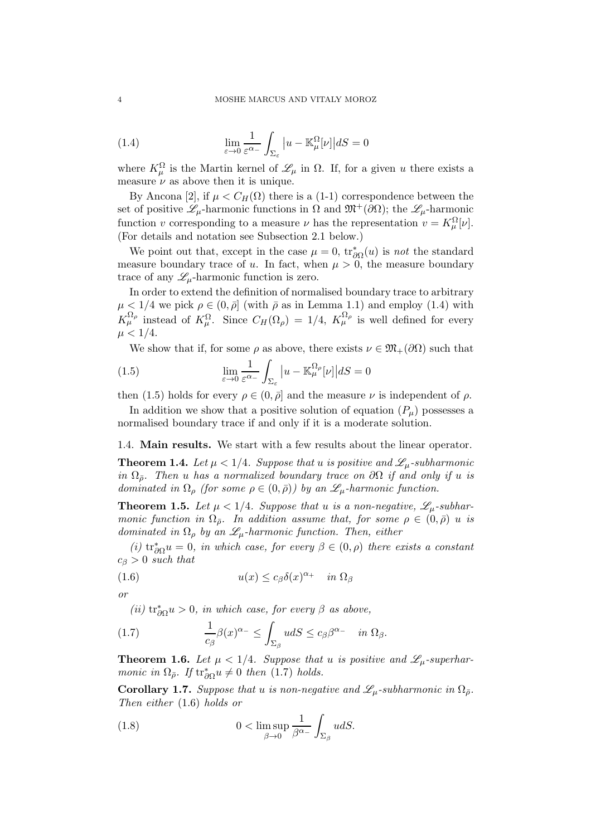(1.4) 
$$
\lim_{\varepsilon \to 0} \frac{1}{\varepsilon^{\alpha_-}} \int_{\Sigma_{\varepsilon}} |u - \mathbb{K}_{\mu}^{\Omega}[\nu]| dS = 0
$$

where  $K^{\Omega}_{\mu}$  is the Martin kernel of  $\mathscr{L}_{\mu}$  in  $\Omega$ . If, for a given u there exists a measure  $\nu$  as above then it is unique.

By Ancona [2], if  $\mu < C_H(\Omega)$  there is a (1-1) correspondence between the set of positive  $\mathscr{L}_{\mu}$ -harmonic functions in  $\Omega$  and  $\mathfrak{M}^+(\partial\Omega)$ ; the  $\mathscr{L}_{\mu}$ -harmonic function v corresponding to a measure  $\nu$  has the representation  $v = K^{\Omega}_{\mu}[\nu]$ . (For details and notation see Subsection 2.1 below.)

We point out that, except in the case  $\mu = 0$ ,  $\text{tr}_{\partial \Omega}^*(u)$  is *not* the standard measure boundary trace of u. In fact, when  $\mu > 0$ , the measure boundary trace of any  $\mathscr{L}_{\mu}$ -harmonic function is zero.

In order to extend the definition of normalised boundary trace to arbitrary  $\mu < 1/4$  we pick  $\rho \in (0, \bar{\rho}]$  (with  $\bar{\rho}$  as in Lemma 1.1) and employ (1.4) with  $K_{\mu}^{\Omega_{\rho}}$  instead of  $K_{\mu}^{\Omega}$ . Since  $C_H(\Omega_{\rho}) = 1/4$ ,  $K_{\mu}^{\Omega_{\rho}}$  is well defined for every  $\mu < 1/4$ .

We show that if, for some  $\rho$  as above, there exists  $\nu \in \mathfrak{M}_+(\partial\Omega)$  such that

(1.5) 
$$
\lim_{\varepsilon \to 0} \frac{1}{\varepsilon^{\alpha_-}} \int_{\Sigma_{\varepsilon}} |u - \mathbb{K}_{\mu}^{\Omega_{\rho}}[\nu]| dS = 0
$$

then (1.5) holds for every  $\rho \in (0, \bar{\rho}]$  and the measure  $\nu$  is independent of  $\rho$ .

In addition we show that a positive solution of equation  $(P_u)$  possesses a normalised boundary trace if and only if it is a moderate solution.

1.4. Main results. We start with a few results about the linear operator.

**Theorem 1.4.** Let  $\mu < 1/4$ . Suppose that u is positive and  $\mathscr{L}_{\mu}$ -subharmonic *in*  $\Omega_{\bar{\rho}}$ *. Then* u *has a normalized boundary trace on*  $\partial\Omega$  *if and only if* u *is dominated in*  $\Omega_{\rho}$  *(for some*  $\rho \in (0,\bar{\rho})$ *) by an*  $\mathscr{L}_{\mu}$ -harmonic function.

**Theorem 1.5.** Let  $\mu < 1/4$ . Suppose that u is a non-negative,  $\mathscr{L}_{\mu}$ -subhar*monic function in*  $\Omega_{\bar{\rho}}$ *. In addition assume that, for some*  $\rho \in (0, \bar{\rho})$  *u is dominated in*  $\Omega_{\rho}$  *by an*  $\mathscr{L}_{\mu}$ -harmonic function. Then, either

*(i)*  $tr_{\partial\Omega}^* u = 0$ *, in which case, for every*  $\beta \in (0, \rho)$  *there exists a constant*  $c_{\beta} > 0$  *such that* 

(1.6) 
$$
u(x) \le c_{\beta} \delta(x)^{\alpha_+} \quad in \ \Omega_{\beta}
$$

*or*

 $(iii)$   $\text{tr}^*_{\partial\Omega}u > 0$ , *in which case, for every*  $\beta$  *as above,* 

(1.7) 
$$
\frac{1}{c_{\beta}}\beta(x)^{\alpha_{-}} \leq \int_{\Sigma_{\beta}} u dS \leq c_{\beta}\beta^{\alpha_{-}} \quad in \ \Omega_{\beta}.
$$

**Theorem 1.6.** Let  $\mu < 1/4$ . Suppose that u is positive and  $\mathscr{L}_{\mu}$ -superhar*monic in*  $\Omega_{\bar{\rho}}$ *. If*  $\text{tr}^*_{\partial\Omega}u \neq 0$  *then* (1.7) *holds.* 

**Corollary 1.7.** *Suppose that* u *is non-negative and*  $\mathscr{L}_{\mu}$ -subharmonic in  $\Omega_{\bar{\rho}}$ *. Then either* (1.6) *holds or*

(1.8) 
$$
0 < \limsup_{\beta \to 0} \frac{1}{\beta^{\alpha_{-}}} \int_{\Sigma_{\beta}} u dS.
$$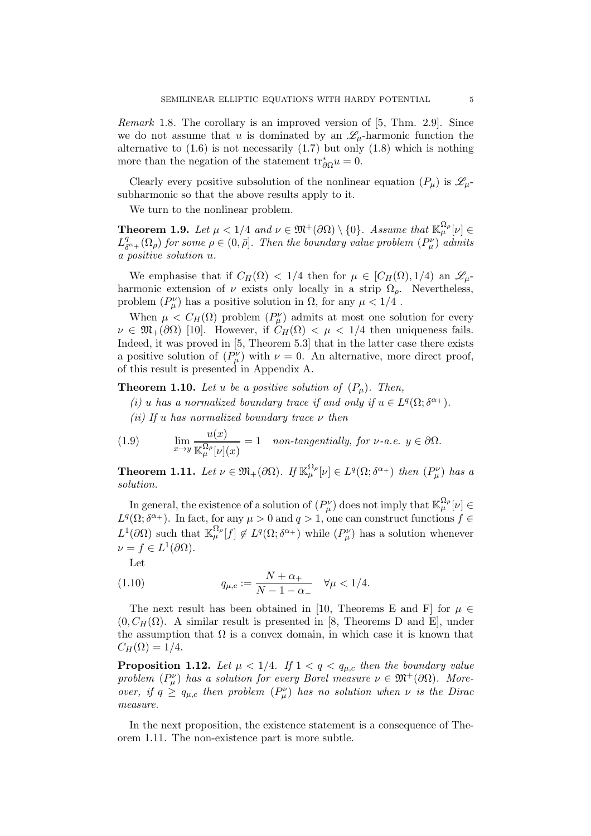*Remark* 1.8*.* The corollary is an improved version of [5, Thm. 2.9]. Since we do not assume that u is dominated by an  $\mathscr{L}_{\mu}$ -harmonic function the alternative to  $(1.6)$  is not necessarily  $(1.7)$  but only  $(1.8)$  which is nothing more than the negation of the statement  $\text{tr}^*_{\partial\Omega}u = 0$ .

Clearly every positive subsolution of the nonlinear equation  $(P_\mu)$  is  $\mathscr{L}_{\mu}$ subharmonic so that the above results apply to it.

We turn to the nonlinear problem.

**Theorem 1.9.** Let  $\mu < 1/4$  and  $\nu \in \mathfrak{M}^+(\partial\Omega) \setminus \{0\}$ . Assume that  $\mathbb{K}_{\mu}^{\Omega_{\rho}}[\nu] \in$  $L^q_{\delta}$  $\delta^q_{\delta^{a+}}(\Omega_\rho)$  *for some*  $\rho \in (0, \bar{\rho}]$ *. Then the boundary value problem*  $(P^\nu_\mu)$  *admits a positive solution* u*.*

We emphasise that if  $C_H(\Omega) < 1/4$  then for  $\mu \in [C_H(\Omega), 1/4)$  an  $\mathscr{L}_{\mu}$ harmonic extension of  $\nu$  exists only locally in a strip  $\Omega_{\rho}$ . Nevertheless, problem  $(P^{\nu}_{\mu})$  has a positive solution in  $\Omega$ , for any  $\mu < 1/4$ .

When  $\mu < C_H(\Omega)$  problem  $(P^{\nu}_{\mu})$  admits at most one solution for every  $\nu \in \mathfrak{M}_+(\partial\Omega)$  [10]. However, if  $C_H(\Omega) < \mu < 1/4$  then uniqueness fails. Indeed, it was proved in [5, Theorem 5.3] that in the latter case there exists a positive solution of  $(P^{\nu}_{\mu})$  with  $\nu = 0$ . An alternative, more direct proof, of this result is presented in Appendix A.

**Theorem 1.10.** Let u be a positive solution of  $(P_u)$ . Then,

- (*i*) *u* has a normalized boundary trace if and only if  $u \in L^q(\Omega; \delta^{\alpha_+})$ .
- *(ii) If* u *has normalized boundary trace* ν *then*

(1.9) 
$$
\lim_{x \to y} \frac{u(x)}{\mathbb{K}_{\mu}^{\Omega_{\rho}}[\nu](x)} = 1 \quad \text{non-tangentially, for } \nu \text{-a.e. } y \in \partial \Omega.
$$

**Theorem 1.11.** Let  $\nu \in \mathfrak{M}_+(\partial\Omega)$ . If  $\mathbb{K}_{\mu}^{\Omega_{\rho}}[\nu] \in L^q(\Omega; \delta^{\alpha_+})$  then  $(P^{\nu}_{\mu})$  has a *solution.*

In general, the existence of a solution of  $(P^{\nu}_{\mu})$  does not imply that  $\mathbb{K}_{\mu}^{\Omega_{\rho}}[\nu]\in$  $L^q(\Omega; \delta^{\alpha_+})$ . In fact, for any  $\mu > 0$  and  $q > 1$ , one can construct functions  $f \in$  $L^1(\partial\Omega)$  such that  $\mathbb{K}_{\mu}^{\Omega_{\rho}}[f] \notin L^q(\Omega;\delta^{\alpha_+})$  while  $(P_{\mu}^{\nu})$  has a solution whenever  $\nu = f \in L^1(\partial\Omega).$ 

Let

(1.10) 
$$
q_{\mu,c} := \frac{N + \alpha_+}{N - 1 - \alpha_-} \quad \forall \mu < 1/4.
$$

The next result has been obtained in [10, Theorems E and F] for  $\mu \in$  $(0, C_H(\Omega))$ . A similar result is presented in [8, Theorems D and E], under the assumption that  $\Omega$  is a convex domain, in which case it is known that  $C_H(\Omega) = 1/4.$ 

**Proposition 1.12.** Let  $\mu < 1/4$ . If  $1 < q < q_{\mu,c}$  then the boundary value problem  $(P^{\nu}_{\mu})$  has a solution for every Borel measure  $\nu \in \mathfrak{M}^+(\partial\Omega)$ . More*over, if*  $q \geq q_{\mu,c}$  *then problem*  $(P^{\nu}_{\mu})$  *has no solution when*  $\nu$  *is the Dirac measure.*

In the next proposition, the existence statement is a consequence of Theorem 1.11. The non-existence part is more subtle.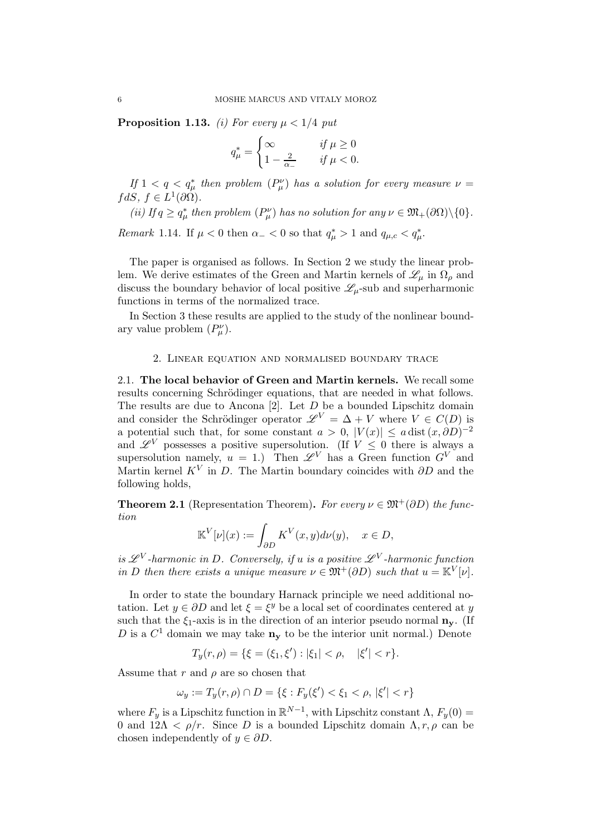**Proposition 1.13.** *(i) For every*  $\mu < 1/4$  *put* 

$$
q_{\mu}^* = \begin{cases} \infty & \text{if } \mu \ge 0\\ 1 - \frac{2}{\alpha_-} & \text{if } \mu < 0. \end{cases}
$$

*If*  $1 < q < q^*_{\mu}$  then problem  $(P^{\nu}_{\mu})$  has a solution for every measure  $\nu =$  $fdS, f \in L^1(\partial\Omega)$ .

*(ii) If*  $q \ge q^*_{\mu}$  *then problem*  $(P^{\nu}_{\mu})$  *has no solution for any*  $\nu \in \mathfrak{M}_+(\partial\Omega)\setminus\{0\}$ *.* 

*Remark* 1.14. If  $\mu < 0$  then  $\alpha$  = < 0 so that  $q^*_{\mu} > 1$  and  $q_{\mu,c} < q^*_{\mu}$ .

The paper is organised as follows. In Section 2 we study the linear problem. We derive estimates of the Green and Martin kernels of  $\mathscr{L}_{\mu}$  in  $\Omega_{\rho}$  and discuss the boundary behavior of local positive  $\mathscr{L}_{\mu}$ -sub and superharmonic functions in terms of the normalized trace.

In Section 3 these results are applied to the study of the nonlinear boundary value problem  $(P^{\nu}_{\mu}).$ 

#### 2. Linear equation and normalised boundary trace

2.1. The local behavior of Green and Martin kernels. We recall some results concerning Schrödinger equations, that are needed in what follows. The results are due to Ancona  $[2]$ . Let  $D$  be a bounded Lipschitz domain and consider the Schrödinger operator  $\mathscr{L}^V = \Delta + V$  where  $V \in C(D)$  is a potential such that, for some constant  $a > 0$ ,  $|V(x)| \leq a \operatorname{dist}(x, \partial D)^{-2}$ and  $\mathscr{L}^V$  possesses a positive supersolution. (If  $V \leq 0$  there is always a supersolution namely,  $u = 1$ .) Then  $\mathscr{L}^V$  has a Green function  $G^V$  and Martin kernel  $K^V$  in D. The Martin boundary coincides with  $\partial D$  and the following holds,

**Theorem 2.1** (Representation Theorem). *For every*  $\nu \in \mathfrak{M}^+(\partial D)$  *the function*

$$
\mathbb{K}^V[\nu](x) := \int_{\partial D} K^V(x, y) d\nu(y), \quad x \in D,
$$

*is*  $\mathscr{L}^V$ -harmonic in D. Conversely, if u is a positive  $\mathscr{L}^V$ -harmonic function *in D then there exists a unique measure*  $\nu \in \mathfrak{M}^+(\partial D)$  *such that*  $u = \mathbb{K}^V[\nu]$ *.* 

In order to state the boundary Harnack principle we need additional notation. Let  $y \in \partial D$  and let  $\xi = \xi^y$  be a local set of coordinates centered at y such that the  $\xi_1$ -axis is in the direction of an interior pseudo normal  $\mathbf{n}_{\mathbf{v}}$ . (If D is a  $C^1$  domain we may take  $\mathbf{n}_{\mathbf{y}}$  to be the interior unit normal.) Denote

$$
T_y(r,\rho) = \{ \xi = (\xi_1, \xi') : |\xi_1| < \rho, \quad |\xi'| < r \}.
$$

Assume that r and  $\rho$  are so chosen that

$$
\omega_y := T_y(r, \rho) \cap D = \{ \xi : F_y(\xi') < \xi_1 < \rho, \, |\xi'| < r \}
$$

where  $F_y$  is a Lipschitz function in  $\mathbb{R}^{N-1}$ , with Lipschitz constant  $\Lambda$ ,  $F_y(0) =$ 0 and  $12\Lambda < \rho/r$ . Since D is a bounded Lipschitz domain  $\Lambda, r, \rho$  can be chosen independently of  $y \in \partial D$ .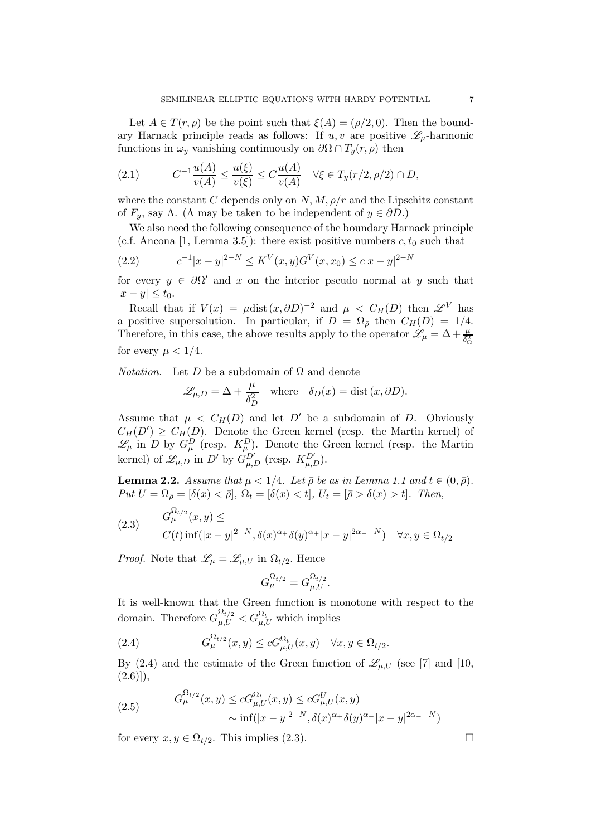Let  $A \in T(r, \rho)$  be the point such that  $\xi(A) = (\rho/2, 0)$ . Then the boundary Harnack principle reads as follows: If  $u, v$  are positive  $\mathscr{L}_{\mu}$ -harmonic functions in  $\omega_y$  vanishing continuously on  $\partial\Omega \cap T_y(r,\rho)$  then

(2.1) 
$$
C^{-1} \frac{u(A)}{v(A)} \le \frac{u(\xi)}{v(\xi)} \le C \frac{u(A)}{v(A)} \quad \forall \xi \in T_y(r/2, \rho/2) \cap D,
$$

where the constant C depends only on  $N, M, \rho/r$  and the Lipschitz constant of  $F_y$ , say  $\Lambda$ . ( $\Lambda$  may be taken to be independent of  $y \in \partial D$ .)

We also need the following consequence of the boundary Harnack principle (c.f. Ancona [1, Lemma 3.5]): there exist positive numbers  $c, t_0$  such that

$$
(2.2) \t\t c^{-1}|x-y|^{2-N} \le K^V(x,y)G^V(x,x_0) \le c|x-y|^{2-N}
$$

for every  $y \in \partial \Omega'$  and x on the interior pseudo normal at y such that  $|x-y| \leq t_0$ .

Recall that if  $V(x) = \mu \text{dist}(x, \partial D)^{-2}$  and  $\mu \langle C_H(D) \rangle$  then  $\mathscr{L}^V$  has a positive supersolution. In particular, if  $D = \Omega_{\bar{\rho}}$  then  $C_H(D) = 1/4$ . Therefore, in this case, the above results apply to the operator  $\mathscr{L}_{\mu} = \Delta + \frac{\mu}{\delta_{\Omega}^2}$ for every  $\mu < 1/4$ .

*Notation.* Let D be a subdomain of  $\Omega$  and denote

$$
\mathcal{L}_{\mu,D} = \Delta + \frac{\mu}{\delta_D^2} \quad \text{where} \quad \delta_D(x) = \text{dist}(x, \partial D).
$$

Assume that  $\mu \langle C_H(D) \rangle$  and let D' be a subdomain of D. Obviously  $C_H(D') \geq C_H(D)$ . Denote the Green kernel (resp. the Martin kernel) of  $\mathscr{L}_{\mu}$  in D by  $G_{\mu}^{D}$  (resp.  $K_{\mu}^{D}$ ). Denote the Green kernel (resp. the Martin kernel) of  $\mathscr{L}_{\mu,D}$  in D' by  $G_{\mu,D}^{D'}$  (resp.  $K_{\mu,D}^{D'}$ ).

**Lemma 2.2.** *Assume that*  $\mu < 1/4$ *. Let*  $\bar{\rho}$  *be as in Lemma 1.1 and*  $t \in (0, \bar{\rho})$ *.*  $Put U = \Omega_{\overline{\rho}} = [\delta(x) < \overline{\rho}], \Omega_t = [\delta(x) < t], U_t = [\overline{\rho} > \delta(x) > t].$  Then,

(2.3) 
$$
G_{\mu}^{\Omega_{t/2}}(x,y) \leq
$$

$$
C(t) \inf(|x-y|^{2-N}, \delta(x)^{\alpha+\delta(y)^{\alpha+}|x-y|^{2\alpha-\delta(y)^{\alpha}}}) \quad \forall x, y \in \Omega_{t/2}
$$

*Proof.* Note that  $\mathscr{L}_{\mu} = \mathscr{L}_{\mu,U}$  in  $\Omega_{t/2}$ . Hence

$$
G_{\mu}^{\Omega_{t/2}} = G_{\mu,U}^{\Omega_{t/2}}.
$$

It is well-known that the Green function is monotone with respect to the domain. Therefore  $G_{\mu,U}^{\Omega_{t/2}} < G_{\mu,U}^{\Omega_t}$  which implies

(2.4) 
$$
G_{\mu}^{\Omega_{t/2}}(x,y) \leq cG_{\mu,U}^{\Omega_t}(x,y) \quad \forall x,y \in \Omega_{t/2}.
$$

By (2.4) and the estimate of the Green function of  $\mathscr{L}_{\mu,U}$  (see [7] and [10,  $(2.6))$ ,

(2.5) 
$$
G_{\mu}^{\Omega_{t/2}}(x, y) \le cG_{\mu, U}^{\Omega_t}(x, y) \le cG_{\mu, U}^U(x, y) \sim \inf(|x - y|^{2-N}, \delta(x)^{\alpha + \delta(y)^{\alpha + |x - y|^{2\alpha - N}})
$$

for every  $x, y \in \Omega_{t/2}$ . This implies (2.3).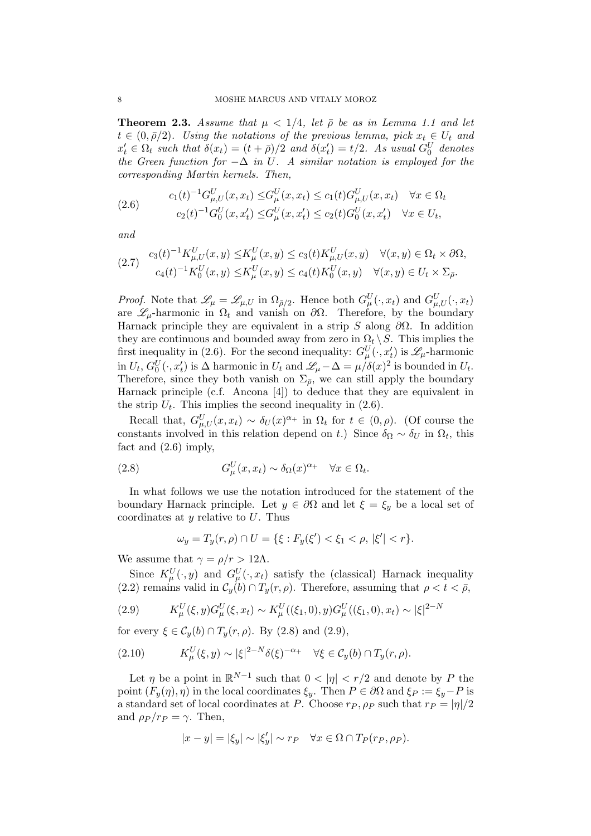**Theorem 2.3.** *Assume that*  $\mu < 1/4$ *, let*  $\bar{\rho}$  *be as in Lemma 1.1 and let*  $t \in (0, \bar{\rho}/2)$ *. Using the notations of the previous lemma, pick*  $x_t \in U_t$  *and*  $x'_t \in \Omega_t$  such that  $\delta(x_t) = (t + \bar{\rho})/2$  and  $\delta(x'_t) = t/2$ . As usual  $G_0^U$  denotes *the Green function for* −∆ *in* U*. A similar notation is employed for the corresponding Martin kernels. Then,*

(2.6) 
$$
c_1(t)^{-1}G_{\mu,U}^U(x, x_t) \leq G_{\mu}^U(x, x_t) \leq c_1(t)G_{\mu,U}^U(x, x_t) \quad \forall x \in \Omega_t
$$

$$
c_2(t)^{-1}G_0^U(x, x_t') \leq G_{\mu}^U(x, x_t') \leq c_2(t)G_0^U(x, x_t') \quad \forall x \in U_t,
$$

*and*

$$
(2.7) \quad c_3(t)^{-1} K_{\mu,U}^U(x,y) \leq K_{\mu}^U(x,y) \leq c_3(t) K_{\mu,U}^U(x,y) \quad \forall (x,y) \in \Omega_t \times \partial \Omega, c_4(t)^{-1} K_0^U(x,y) \leq K_{\mu}^U(x,y) \leq c_4(t) K_0^U(x,y) \quad \forall (x,y) \in U_t \times \Sigma_{\bar{\rho}}.
$$

*Proof.* Note that  $\mathscr{L}_{\mu} = \mathscr{L}_{\mu,U}$  in  $\Omega_{\bar{\rho}/2}$ . Hence both  $G_{\mu}^U(\cdot, x_t)$  and  $G_{\mu,U}^U(\cdot, x_t)$ are  $\mathscr{L}_{\mu}$ -harmonic in  $\Omega_t$  and vanish on  $\partial\Omega$ . Therefore, by the boundary Harnack principle they are equivalent in a strip S along  $\partial\Omega$ . In addition they are continuous and bounded away from zero in  $\Omega_t \setminus S$ . This implies the first inequality in (2.6). For the second inequality:  $G_{\mu}^{U}(\cdot, x_t^{\prime})$  is  $\mathscr{L}_{\mu}$ -harmonic in  $U_t$ ,  $G_0^U(\cdot, x_t')$  is  $\Delta$  harmonic in  $U_t$  and  $\mathscr{L}_{\mu} - \Delta = \mu/\delta(x)^2$  is bounded in  $U_t$ . Therefore, since they both vanish on  $\Sigma_{\bar{\rho}}$ , we can still apply the boundary Harnack principle (c.f. Ancona [4]) to deduce that they are equivalent in the strip  $U_t$ . This implies the second inequality in (2.6).

Recall that,  $G_{\mu,U}^U(x,x_t) \sim \delta_U(x)^{\alpha_+}$  in  $\Omega_t$  for  $t \in (0,\rho)$ . (Of course the constants involved in this relation depend on t.) Since  $\delta_{\Omega} \sim \delta_{U}$  in  $\Omega_{t}$ , this fact and (2.6) imply,

(2.8) 
$$
G_{\mu}^{U}(x,x_t) \sim \delta_{\Omega}(x)^{\alpha_+} \quad \forall x \in \Omega_t.
$$

In what follows we use the notation introduced for the statement of the boundary Harnack principle. Let  $y \in \partial \Omega$  and let  $\xi = \xi_y$  be a local set of coordinates at  $y$  relative to  $U$ . Thus

$$
\omega_y = T_y(r, \rho) \cap U = \{ \xi : F_y(\xi') < \xi_1 < \rho, \, |\xi'| < r \}.
$$

We assume that  $\gamma = \rho/r > 12\Lambda$ .

Since  $K^U_\mu(\cdot, y)$  and  $G^U_\mu(\cdot, x_t)$  satisfy the (classical) Harnack inequality (2.2) remains valid in  $\mathcal{C}_y(b) \cap T_y(r, \rho)$ . Therefore, assuming that  $\rho < t < \bar{\rho}$ ,

(2.9) 
$$
K_{\mu}^{U}(\xi, y)G_{\mu}^{U}(\xi, x_{t}) \sim K_{\mu}^{U}((\xi_{1}, 0), y)G_{\mu}^{U}((\xi_{1}, 0), x_{t}) \sim |\xi|^{2-N}
$$

for every  $\xi \in \mathcal{C}_y(b) \cap T_y(r, \rho)$ . By (2.8) and (2.9),

(2.10) 
$$
K^U_\mu(\xi, y) \sim |\xi|^{2-N} \delta(\xi)^{-\alpha_+} \quad \forall \xi \in C_y(b) \cap T_y(r, \rho).
$$

Let  $\eta$  be a point in  $\mathbb{R}^{N-1}$  such that  $0 < |\eta| < r/2$  and denote by P the point  $(F_u(\eta), \eta)$  in the local coordinates  $\xi_u$ . Then  $P \in \partial \Omega$  and  $\xi_P := \xi_u - P$  is a standard set of local coordinates at P. Choose  $r_P$ ,  $\rho_P$  such that  $r_P = |\eta|/2$ and  $\rho_P / r_P = \gamma$ . Then,

$$
|x - y| = |\xi_y| \sim |\xi_y'| \sim r_P \quad \forall x \in \Omega \cap T_P(r_P, \rho_P).
$$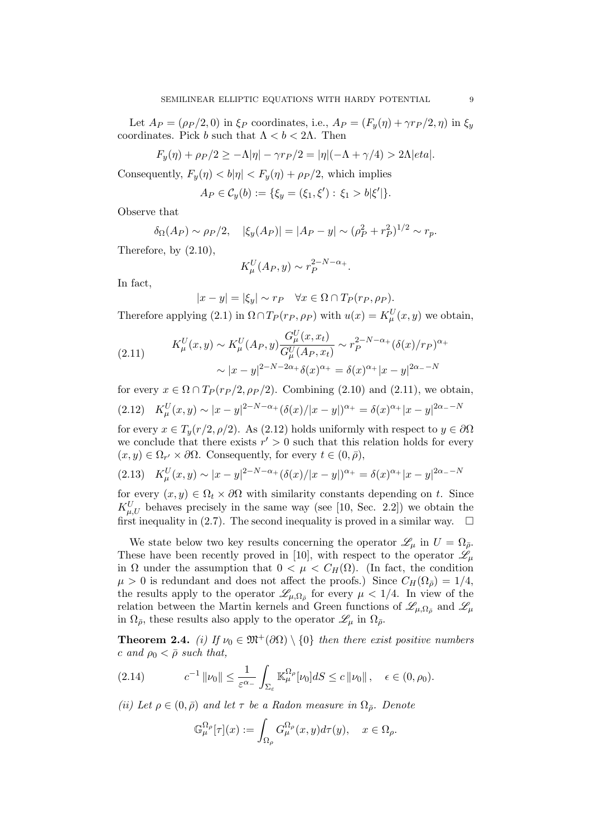Let  $A_P = (\rho_P/2, 0)$  in  $\xi_P$  coordinates, i.e.,  $A_P = (F_y(\eta) + \gamma r_P/2, \eta)$  in  $\xi_y$ coordinates. Pick b such that  $\Lambda < b < 2\Lambda$ . Then

$$
F_y(\eta) + \rho_P/2 \ge -\Lambda |\eta| - \gamma r_P/2 = |\eta|(-\Lambda + \gamma/4) > 2\Lambda |eta|.
$$

Consequently,  $F_{\nu}(\eta) < b|\eta| < F_{\nu}(\eta) + \rho_P/2$ , which implies

 $A_P \in C_y(b) := \{ \xi_y = (\xi_1, \xi') : \xi_1 > b | \xi' | \}.$ 

Observe that

$$
\delta_{\Omega}(A_P) \sim \rho_P/2, \quad |\xi_y(A_P)| = |A_P - y| \sim (\rho_P^2 + r_P^2)^{1/2} \sim r_p.
$$

Therefore, by (2.10),

$$
K_{\mu}^{U}(A_P, y) \sim r_P^{2-N-\alpha_+}.
$$

In fact,

$$
|x - y| = |\xi_y| \sim r_P \quad \forall x \in \Omega \cap T_P(r_P, \rho_P).
$$

Therefore applying (2.1) in  $\Omega \cap T_P(r_P, \rho_P)$  with  $u(x) = K^U_\mu(x, y)$  we obtain,

(2.11) 
$$
K_{\mu}^{U}(x,y) \sim K_{\mu}^{U}(A_{P},y) \frac{G_{\mu}^{U}(x,x_{t})}{G_{\mu}^{U}(A_{P},x_{t})} \sim r_{P}^{2-N-\alpha_{+}}(\delta(x)/rp)^{\alpha_{+}} \sim |x-y|^{2-N-2\alpha_{+}}\delta(x)^{\alpha_{+}} = \delta(x)^{\alpha_{+}}|x-y|^{2\alpha_{-}-N}
$$

for every  $x \in \Omega \cap T_P(r_P/2, \rho_P/2)$ . Combining (2.10) and (2.11), we obtain, (2.12)  $K^U_\mu(x,y) \sim |x-y|^{2-N-\alpha_+} (\delta(x)/|x-y|)^{\alpha_+} = \delta(x)^{\alpha_+}|x-y|^{2\alpha_- - N}$ 

for every  $x \in T_u(r/2, \rho/2)$ . As (2.12) holds uniformly with respect to  $y \in \partial\Omega$ we conclude that there exists  $r' > 0$  such that this relation holds for every  $(x, y) \in \Omega_{r'} \times \partial \Omega$ . Consequently, for every  $t \in (0, \bar{\rho}),$ 

$$
(2.13) \quad K_{\mu}^{U}(x,y) \sim |x-y|^{2-N-\alpha_{+}} (\delta(x)/|x-y|)^{\alpha_{+}} = \delta(x)^{\alpha_{+}}|x-y|^{2\alpha_{-}-N}
$$

for every  $(x, y) \in \Omega_t \times \partial \Omega$  with similarity constants depending on t. Since  $K_{\mu,U}^U$  behaves precisely in the same way (see [10, Sec. 2.2]) we obtain the first inequality in (2.7). The second inequality is proved in a similar way.  $\Box$ 

We state below two key results concerning the operator  $\mathscr{L}_{\mu}$  in  $U = \Omega_{\bar{\rho}}$ . These have been recently proved in [10], with respect to the operator  $\mathscr{L}_{\mu}$ in  $\Omega$  under the assumption that  $0 < \mu < C_H(\Omega)$ . (In fact, the condition  $\mu > 0$  is redundant and does not affect the proofs.) Since  $C_H(\Omega_{\bar{p}}) = 1/4$ , the results apply to the operator  $\mathscr{L}_{\mu,\Omega_{\bar{\rho}}}$  for every  $\mu < 1/4$ . In view of the relation between the Martin kernels and Green functions of  $\mathscr{L}_{\mu,\Omega_{\bar{\rho}}}$  and  $\mathscr{L}_{\mu}$ in  $\Omega_{\bar{\rho}}$ , these results also apply to the operator  $\mathscr{L}_{\mu}$  in  $\Omega_{\bar{\rho}}$ .

**Theorem 2.4.** *(i)* If  $\nu_0 \in \mathfrak{M}^+(\partial\Omega) \setminus \{0\}$  then there exist positive numbers  $c$  *and*  $\rho_0 < \bar{\rho}$  *such that,* 

$$
(2.14) \t\t c^{-1} \|\nu_0\| \le \frac{1}{\varepsilon^{\alpha_-}} \int_{\Sigma_{\varepsilon}} \mathbb{K}_{\mu}^{\Omega_{\rho}}[\nu_0] dS \le c \|\nu_0\| \,, \quad \varepsilon \in (0, \rho_0).
$$

*(ii) Let*  $\rho \in (0, \bar{\rho})$  *and let*  $\tau$  *be a Radon measure in*  $\Omega_{\bar{\rho}}$ *. Denote* 

$$
\mathbb{G}_{\mu}^{\Omega_{\rho}}[\tau](x) := \int_{\Omega_{\rho}} G_{\mu}^{\Omega_{\rho}}(x, y) d\tau(y), \quad x \in \Omega_{\rho}.
$$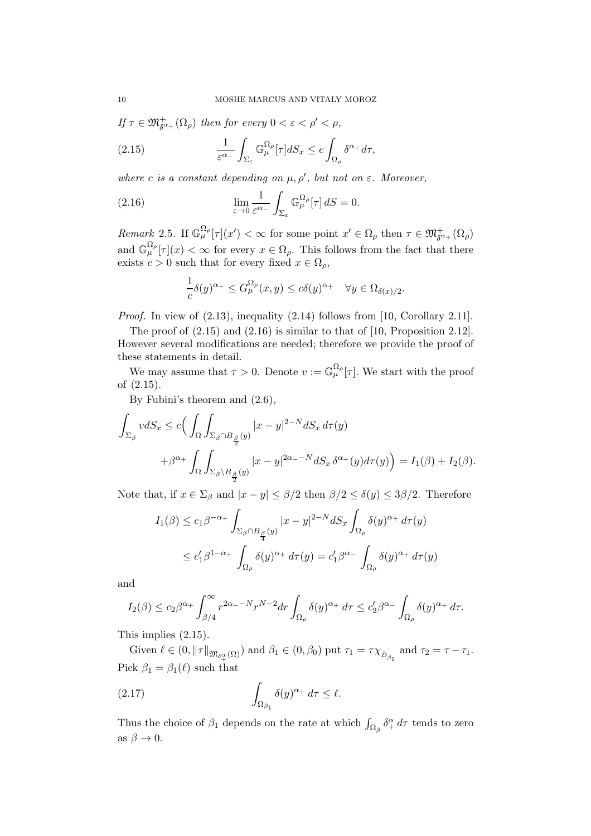*If*  $\tau \in \mathfrak{M}^+_{\delta^{\alpha_+}}(\Omega_\rho)$  *then for every*  $0 < \varepsilon < \rho' < \rho$ ,

(2.15) 
$$
\frac{1}{\varepsilon^{\alpha_-}} \int_{\Sigma_{\varepsilon}} \mathbb{G}_{\mu}^{\Omega_{\rho}}[\tau] dS_x \leq c \int_{\Omega_{\rho}} \delta^{\alpha_+} d\tau,
$$

*where c is a constant depending on*  $\mu$ ,  $\rho'$ , *but not on*  $\varepsilon$ *. Moreover*,

(2.16) 
$$
\lim_{\varepsilon \to 0} \frac{1}{\varepsilon^{\alpha_-}} \int_{\Sigma_{\varepsilon}} \mathbb{G}_{\mu}^{\Omega_{\rho}}[\tau] dS = 0.
$$

*Remark* 2.5. If  $\mathbb{G}_{\mu}^{\Omega_{\rho}}[\tau](x') < \infty$  for some point  $x' \in \Omega_{\rho}$  then  $\tau \in \mathfrak{M}^+_{\delta^{\alpha_+}}(\Omega_{\rho})$ and  $\mathbb{G}_{\mu}^{\Omega_{\rho}}[\tau](x) < \infty$  for every  $x \in \Omega_{\rho}$ . This follows from the fact that there exists  $c > 0$  such that for every fixed  $x \in \Omega_{\rho}$ ,

$$
\frac{1}{c}\delta(y)^{\alpha_+} \leq G_{\mu}^{\Omega_{\rho}}(x,y) \leq c\delta(y)^{\alpha_+} \quad \forall y \in \Omega_{\delta(x)/2}.
$$

*Proof.* In view of  $(2.13)$ , inequality  $(2.14)$  follows from [10, Corollary 2.11].

The proof of  $(2.15)$  and  $(2.16)$  is similar to that of  $[10,$  Proposition 2.12]. However several modifications are needed; therefore we provide the proof of these statements in detail.

We may assume that  $\tau > 0$ . Denote  $v := \mathbb{G}_{\mu}^{\Omega_{\rho}}[\tau]$ . We start with the proof of (2.15).

By Fubini's theorem and (2.6),

$$
\int_{\Sigma_{\beta}} v dS_x \le c \Big( \int_{\Omega} \int_{\Sigma_{\beta} \cap B_{\frac{\beta}{2}}(y)} |x - y|^{2-N} dS_x d\tau(y) \n+ \beta^{\alpha_+} \int_{\Omega} \int_{\Sigma_{\beta} \setminus B_{\frac{\beta}{2}}(y)} |x - y|^{2\alpha_- - N} dS_x \delta^{\alpha_+}(y) d\tau(y) \Big) = I_1(\beta) + I_2(\beta).
$$

Note that, if  $x \in \Sigma_{\beta}$  and  $|x - y| \leq \beta/2$  then  $\beta/2 \leq \delta(y) \leq 3\beta/2$ . Therefore

$$
I_1(\beta) \le c_1 \beta^{-\alpha_+} \int_{\Sigma_{\beta} \cap B_{\frac{\beta}{4}}(y)} |x - y|^{2-N} dS_x \int_{\Omega_{\rho}} \delta(y)^{\alpha_+} d\tau(y)
$$
  

$$
\le c'_1 \beta^{1-\alpha_+} \int_{\Omega_{\rho}} \delta(y)^{\alpha_+} d\tau(y) = c'_1 \beta^{\alpha_-} \int_{\Omega_{\rho}} \delta(y)^{\alpha_+} d\tau(y)
$$

and

$$
I_2(\beta) \leq c_2 \beta^{\alpha_+} \int_{\beta/4}^{\infty} r^{2\alpha_- - N} r^{N-2} dr \int_{\Omega_\rho} \delta(y)^{\alpha_+} d\tau \leq c_2' \beta^{\alpha_-} \int_{\Omega_\rho} \delta(y)^{\alpha_+} d\tau.
$$

This implies (2.15).

Given  $\ell \in (0, ||\tau||_{\mathfrak{M}_{\delta_+^{\alpha}}(\Omega)})$  and  $\beta_1 \in (0, \beta_0)$  put  $\tau_1 = \tau \chi_{\bar{D}_{\beta_1}}$  and  $\tau_2 = \tau - \tau_1$ . Pick  $\beta_1 = \beta_1(\ell)$  such that

(2.17) 
$$
\int_{\Omega_{\beta_1}} \delta(y)^{\alpha_+} d\tau \leq \ell.
$$

Thus the choice of  $\beta_1$  depends on the rate at which  $\int_{\Omega_\beta} \delta_+^\alpha d\tau$  tends to zero as  $\beta \to 0$ .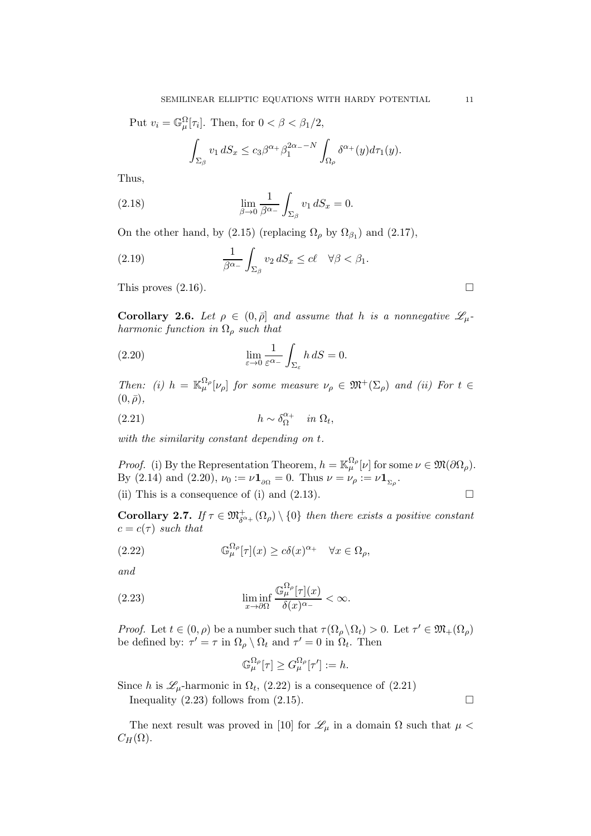Put 
$$
v_i = \mathbb{G}_{\mu}^{\Omega}[\tau_i]
$$
. Then, for  $0 < \beta < \beta_1/2$ ,  

$$
\int_{\Sigma_{\beta}} v_1 dS_x \leq c_3 \beta^{\alpha+} \beta_1^{2\alpha - N} \int_{\Omega_{\rho}} \delta^{\alpha+}(y) d\tau_1(y).
$$

Thus,

(2.18) 
$$
\lim_{\beta \to 0} \frac{1}{\beta^{\alpha_-}} \int_{\Sigma_{\beta}} v_1 dS_x = 0.
$$

On the other hand, by (2.15) (replacing  $\Omega_{\rho}$  by  $\Omega_{\beta_1}$ ) and (2.17),

(2.19) 
$$
\frac{1}{\beta^{\alpha_-}} \int_{\Sigma_{\beta}} v_2 dS_x \leq c\ell \quad \forall \beta < \beta_1.
$$

This proves  $(2.16)$ .

**Corollary 2.6.** Let  $\rho \in (0, \bar{\rho}]$  and assume that h is a nonnegative  $\mathscr{L}_{\mu}$ . *harmonic function in* Ω<sup>ρ</sup> *such that*

(2.20) 
$$
\lim_{\varepsilon \to 0} \frac{1}{\varepsilon^{\alpha_-}} \int_{\Sigma_{\varepsilon}} h \, dS = 0.
$$

*Then:* (i)  $h = \mathbb{K}_{\mu}^{\Omega_{\rho}}[\nu_{\rho}]$  *for some measure*  $\nu_{\rho} \in \mathfrak{M}^{+}(\Sigma_{\rho})$  *and (ii) For*  $t \in$  $(0, \bar{\rho}),$ 

(2.21) 
$$
h \sim \delta_{\Omega}^{\alpha+} \quad in \ \Omega_t,
$$

*with the similarity constant depending on* t*.*

*Proof.* (i) By the Representation Theorem,  $h = \mathbb{K}_{\mu}^{\Omega_{\rho}}[\nu]$  for some  $\nu \in \mathfrak{M}(\partial \Omega_{\rho})$ . By (2.14) and (2.20),  $\nu_0 := \nu \mathbf{1}_{\partial \Omega} = 0$ . Thus  $\nu = \nu_\rho := \nu \mathbf{1}_{\Sigma_\rho}$ .

(ii) This is a consequence of (i) and (2.13).  $\Box$ 

**Corollary 2.7.** If 
$$
\tau \in \mathfrak{M}^+_{\delta^{\alpha+}}(\Omega_\rho) \setminus \{0\}
$$
 then there exists a positive constant  $c = c(\tau)$  such that

(2.22) 
$$
\mathbb{G}_{\mu}^{\Omega_{\rho}}[\tau](x) \ge c\delta(x)^{\alpha_{+}} \quad \forall x \in \Omega_{\rho},
$$

*and*

(2.23) 
$$
\liminf_{x \to \partial \Omega} \frac{\mathbb{G}_{\mu}^{\Omega_{\rho}}[\tau](x)}{\delta(x)^{\alpha_{-}}} < \infty.
$$

*Proof.* Let  $t \in (0, \rho)$  be a number such that  $\tau(\Omega_\rho \setminus \Omega_t) > 0$ . Let  $\tau' \in \mathfrak{M}_+(\Omega_\rho)$ be defined by:  $\tau' = \tau$  in  $\Omega_{\rho} \setminus \Omega_t$  and  $\tau' = 0$  in  $\Omega_t$ . Then

$$
\mathbb{G}_{\mu}^{\Omega_{\rho}}[\tau] \geq G_{\mu}^{\Omega_{\rho}}[\tau'] := h.
$$

Since h is  $\mathcal{L}_{\mu}$ -harmonic in  $\Omega_t$ , (2.22) is a consequence of (2.21)

Inequality  $(2.23)$  follows from  $(2.15)$ .

The next result was proved in [10] for  $\mathcal{L}_{\mu}$  in a domain  $\Omega$  such that  $\mu$  <  $C_H(\Omega)$ .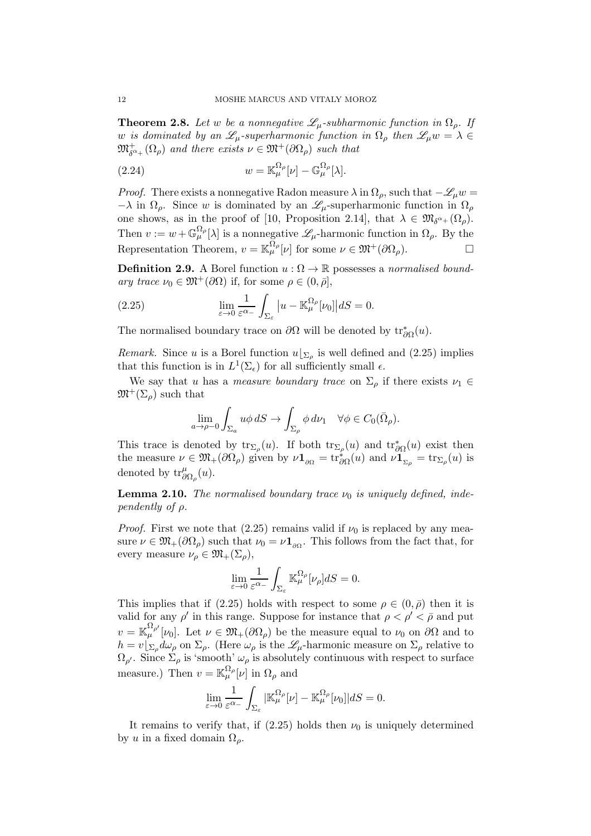**Theorem 2.8.** Let w be a nonnegative  $\mathscr{L}_{\mu}$ -subharmonic function in  $\Omega_{\rho}$ . If w *is dominated by an*  $\mathscr{L}_{\mu}$ -superharmonic function in  $\Omega_{\rho}$  then  $\mathscr{L}_{\mu}w = \lambda \in$  $\mathfrak{M}^+_{\delta^{\alpha+}}(\Omega_\rho)$  and there exists  $\nu \in \mathfrak{M}^+(\partial \Omega_\rho)$  such that

(2.24) 
$$
w = \mathbb{K}_{\mu}^{\Omega_{\rho}}[\nu] - \mathbb{G}_{\mu}^{\Omega_{\rho}}[\lambda].
$$

*Proof.* There exists a nonnegative Radon measure  $\lambda$  in  $\Omega_{\rho}$ , such that  $-\mathscr{L}_{\mu}w =$  $-\lambda$  in  $\Omega_{\rho}$ . Since w is dominated by an  $\mathscr{L}_{\mu}$ -superharmonic function in  $\Omega_{\rho}$ one shows, as in the proof of [10, Proposition 2.14], that  $\lambda \in \mathfrak{M}_{\delta^{\alpha+}}(\Omega_\rho)$ . Then  $v := w + \mathbb{G}_{\mu}^{\Omega_{\rho}}[\lambda]$  is a nonnegative  $\mathscr{L}_{\mu}$ -harmonic function in  $\Omega_{\rho}$ . By the Representation Theorem,  $v = \mathbb{K}_{\mu}^{\Omega_{\rho}}[\nu]$  for some  $\nu \in \mathfrak{M}^+(\partial\Omega_{\rho}).$ 

**Definition 2.9.** A Borel function  $u : \Omega \to \mathbb{R}$  possesses a *normalised boundary trace*  $\nu_0 \in \mathfrak{M}^+(\partial\Omega)$  if, for some  $\rho \in (0, \bar{\rho}],$ 

(2.25) 
$$
\lim_{\varepsilon \to 0} \frac{1}{\varepsilon^{\alpha_-}} \int_{\Sigma_{\varepsilon}} |u - \mathbb{K}_{\mu}^{\Omega_{\rho}}[\nu_0]| dS = 0.
$$

The normalised boundary trace on  $\partial\Omega$  will be denoted by  $\text{tr}^*_{\partial\Omega}(u)$ .

*Remark.* Since u is a Borel function  $u|_{\Sigma_{\rho}}$  is well defined and (2.25) implies that this function is in  $L^1(\Sigma_\epsilon)$  for all sufficiently small  $\epsilon$ .

We say that u has a *measure boundary trace* on  $\Sigma_{\rho}$  if there exists  $\nu_1 \in$  $\mathfrak{M}^+(\Sigma_\rho)$  such that

$$
\lim_{a \to \rho - 0} \int_{\Sigma_a} u \phi \, dS \to \int_{\Sigma_\rho} \phi \, d\nu_1 \quad \forall \phi \in C_0(\bar{\Omega}_\rho).
$$

This trace is denoted by  $\text{tr}_{\Sigma_{\rho}}(u)$ . If both  $\text{tr}_{\Sigma_{\rho}}(u)$  and  $\text{tr}_{\partial\Omega}^*(u)$  exist then the measure  $\nu \in \mathfrak{M}_+(\partial\Omega_\rho)$  given by  $\nu\mathbf{1}_{\partial\Omega} = \text{tr}_{\partial\Omega}^*(u)$  and  $\nu\mathbf{1}_{\Sigma_\rho} = \text{tr}_{\Sigma_\rho}(u)$  is denoted by  $\mathrm{tr}^{\mu}_{\partial \Omega_{\rho}}(u)$ .

**Lemma 2.10.** *The normalised boundary trace*  $\nu_0$  *is uniquely defined, independently of* ρ*.*

*Proof.* First we note that (2.25) remains valid if  $\nu_0$  is replaced by any measure  $\nu \in \mathfrak{M}_+(\partial\Omega_\rho)$  such that  $\nu_0 = \nu \mathbf{1}_{\partial\Omega}$ . This follows from the fact that, for every measure  $\nu_{\rho} \in \mathfrak{M}_{+}(\Sigma_{\rho}),$ 

$$
\lim_{\varepsilon \to 0} \frac{1}{\varepsilon^{\alpha_-}} \int_{\Sigma_{\varepsilon}} \mathbb{K}_{\mu}^{\Omega_{\rho}}[\nu_{\rho}] dS = 0.
$$

This implies that if (2.25) holds with respect to some  $\rho \in (0, \bar{\rho})$  then it is valid for any  $\rho'$  in this range. Suppose for instance that  $\rho < \rho' < \bar{\rho}$  and put  $v = \mathbb{K}_{\mu}^{\Omega_{\rho'}}[\nu_0]$ . Let  $\nu \in \mathfrak{M}_+(\partial\Omega_\rho)$  be the measure equal to  $\nu_0$  on  $\partial\Omega$  and to  $h = v\vert_{\Sigma_{\rho}} d\omega_{\rho}$  on  $\Sigma_{\rho}$ . (Here  $\omega_{\rho}$  is the  $\mathscr{L}_{\mu}$ -harmonic measure on  $\Sigma_{\rho}$  relative to  $\Omega_{\rho'}$ . Since  $\Sigma_{\rho}$  is 'smooth'  $\omega_{\rho}$  is absolutely continuous with respect to surface measure.) Then  $v = \mathbb{K}_{\mu}^{\Omega_{\rho}}[\nu]$  in  $\Omega_{\rho}$  and

$$
\lim_{\varepsilon \to 0} \frac{1}{\varepsilon^{\alpha_-}} \int_{\Sigma_{\varepsilon}} |\mathbb{K}_{\mu}^{\Omega_{\rho}}[\nu] - \mathbb{K}_{\mu}^{\Omega_{\rho}}[\nu_0]| dS = 0.
$$

It remains to verify that, if  $(2.25)$  holds then  $\nu_0$  is uniquely determined by u in a fixed domain  $\Omega_{\rho}$ .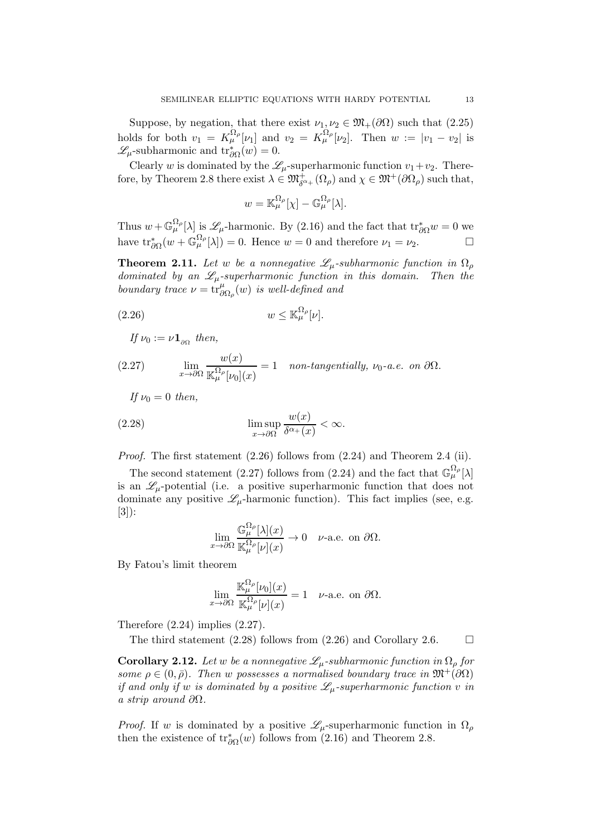Suppose, by negation, that there exist  $\nu_1, \nu_2 \in \mathfrak{M}_+(\partial\Omega)$  such that  $(2.25)$ holds for both  $v_1 = K^{\Omega_\rho}_\mu[\nu_1]$  and  $v_2 = K^{\Omega_\rho}_\mu[\nu_2]$ . Then  $w := |v_1 - v_2|$  is  $\mathscr{L}_{\mu}$ -subharmonic and  $\text{tr}^*_{\partial\Omega}(w) = 0$ .

Clearly w is dominated by the  $\mathcal{L}_{\mu}$ -superharmonic function  $v_1+v_2$ . Therefore, by Theorem 2.8 there exist  $\lambda \in \mathfrak{M}^+_{\delta^{\alpha+}}(\Omega_\rho)$  and  $\chi \in \mathfrak{M}^+(\partial\Omega_\rho)$  such that,

$$
w = \mathbb{K}_{\mu}^{\Omega_{\rho}}[\chi] - \mathbb{G}_{\mu}^{\Omega_{\rho}}[\lambda].
$$

Thus  $w + \mathbb{G}_{\mu}^{\Omega_{\rho}}[\lambda]$  is  $\mathscr{L}_{\mu}$ -harmonic. By (2.16) and the fact that  $\text{tr}^*_{\partial\Omega}w = 0$  we have  $\text{tr}_{\partial\Omega}^*(w + \mathbb{G}_{\mu}^{\Omega_{\rho}}[\lambda]) = 0$ . Hence  $w = 0$  and therefore  $\nu_1 = \nu_2$ .

**Theorem 2.11.** Let w be a nonnegative  $\mathscr{L}_{\mu}$ -subharmonic function in  $\Omega_{\rho}$ *dominated by an*  $\mathcal{L}_{\mu}$ *-superharmonic function in this domain. Then the boundary trace*  $\nu = \text{tr}_{\partial \Omega_{\rho}}^{\mu}(w)$  *is well-defined and* 

$$
(2.26) \t\t\t w \leq \mathbb{K}_{\mu}^{\Omega_{\rho}}[\nu].
$$

 $If \nu_0 := \nu \mathbf{1}_{\partial \Omega}$  then,

(2.27) 
$$
\lim_{x \to \partial \Omega} \frac{w(x)}{\mathbb{K}_{\mu}^{\Omega_{\rho}}[\nu_0](x)} = 1 \quad \text{non-tangentially, } \nu_0 \text{-a.e. on } \partial \Omega.
$$

*If*  $\nu_0 = 0$  *then,* 

(2.28) 
$$
\limsup_{x \to \partial \Omega} \frac{w(x)}{\delta^{\alpha_+}(x)} < \infty.
$$

*Proof.* The first statement (2.26) follows from (2.24) and Theorem 2.4 (ii).

The second statement (2.27) follows from (2.24) and the fact that  $\mathbb{G}_{\mu}^{\Omega_{\rho}}[\lambda]$ is an  $\mathscr{L}_{\mu}$ -potential (i.e. a positive superharmonic function that does not dominate any positive  $\mathscr{L}_{\mu}$ -harmonic function). This fact implies (see, e.g. [3]):

$$
\lim_{x \to \partial\Omega} \frac{\mathbb{G}_{\mu}^{\Omega_{\rho}}[\lambda](x)}{\mathbb{K}_{\mu}^{\Omega_{\rho}}[\nu](x)} \to 0 \quad \text{$\nu$-a.e. on $\partial\Omega$}.
$$

By Fatou's limit theorem

$$
\lim_{x \to \partial\Omega} \frac{\mathbb{K}_{\mu}^{\Omega_{\rho}}[\nu_0](x)}{\mathbb{K}_{\mu}^{\Omega_{\rho}}[\nu](x)} = 1 \quad \text{$\nu$-a.e. on $\partial\Omega$}.
$$

Therefore  $(2.24)$  implies  $(2.27)$ .

The third statement (2.28) follows from (2.26) and Corollary 2.6.  $\Box$ 

**Corollary 2.12.** Let w be a nonnegative  $\mathscr{L}_{\mu}$ -subharmonic function in  $\Omega_{\rho}$  for  $some \rho \in (0, \bar{\rho})$ *. Then* w possesses a normalised boundary trace in  $\mathfrak{M}^+(\partial\Omega)$ *if and only if* w *is dominated by a positive*  $\mathscr{L}_{\mu}$ -superharmonic function v in *a strip around* ∂Ω*.*

*Proof.* If w is dominated by a positive  $\mathscr{L}_{\mu}$ -superharmonic function in  $\Omega_{\rho}$ then the existence of  $\text{tr}^*_{\partial\Omega}(w)$  follows from (2.16) and Theorem 2.8.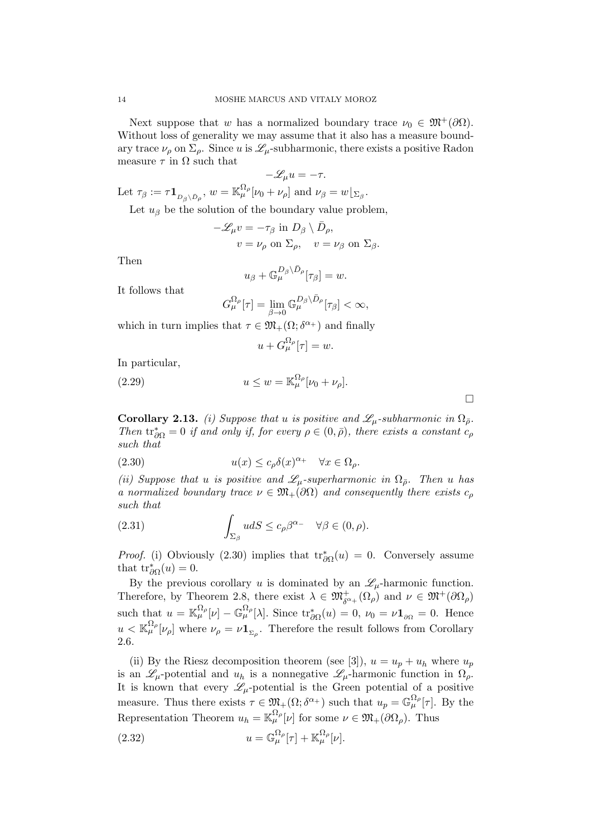Next suppose that w has a normalized boundary trace  $\nu_0 \in \mathfrak{M}^+(\partial\Omega)$ . Without loss of generality we may assume that it also has a measure boundary trace  $\nu_{\rho}$  on  $\Sigma_{\rho}$ . Since u is  $\mathscr{L}_{\mu}$ -subharmonic, there exists a positive Radon measure  $\tau$  in  $\Omega$  such that

$$
-\mathscr{L}_{\mu}u = -\tau.
$$

Let  $\tau_{\beta} := \tau \mathbf{1}_{D_{\beta} \setminus \bar{D}_{\rho}}, \ w = \mathbb{K}_{\mu}^{\Omega_{\rho}}[\nu_0 + \nu_{\rho}] \text{ and } \nu_{\beta} = w \lfloor_{\Sigma_{\beta}}.$ 

Let  $u_{\beta}$  be the solution of the boundary value problem,

$$
-\mathscr{L}_{\mu}v = -\tau_{\beta} \text{ in } D_{\beta} \setminus \bar{D}_{\rho},
$$
  

$$
v = \nu_{\rho} \text{ on } \Sigma_{\rho}, \quad v = \nu_{\beta} \text{ on } \Sigma_{\beta}.
$$

Then

$$
u_{\beta}+\mathbb{G}_{\mu}^{D_{\beta}\setminus \bar{D}_{\rho}}[\tau_{\beta}]=w.
$$

It follows that

$$
G_\mu^{\Omega_\rho}[\tau] = \lim_{\beta \to 0} \mathbb{G}_\mu^{D_\beta \setminus \bar{D}_\rho}[\tau_\beta] < \infty,
$$

which in turn implies that  $\tau \in \mathfrak{M}_+(\Omega; \delta^{\alpha_+})$  and finally

$$
u + G_{\mu}^{\Omega_{\rho}}[\tau] = w.
$$

In particular,

(2.29) 
$$
u \leq w = \mathbb{K}_{\mu}^{\Omega_{\rho}}[\nu_0 + \nu_{\rho}].
$$

**Corollary 2.13.** *(i) Suppose that* u *is positive and*  $\mathscr{L}_{\mu}$ -subharmonic in  $\Omega_{\bar{\rho}}$ . *Then*  $\text{tr}_{\partial\Omega}^* = 0$  *if and only if, for every*  $\rho \in (0, \bar{\rho})$ *, there exists a constant*  $c_{\rho}$ *such that*

 $\Box$ 

(2.30) 
$$
u(x) \le c_{\rho} \delta(x)^{\alpha_+} \quad \forall x \in \Omega_{\rho}.
$$

*(ii)* Suppose that *u is positive and*  $\mathscr{L}_{\mu}$ -superharmonic *in*  $\Omega_{\bar{\rho}}$ . Then *u* has *a normalized boundary trace*  $\nu \in \mathfrak{M}_+(\partial\Omega)$  *and consequently there exists*  $c_\rho$ *such that*

(2.31) 
$$
\int_{\Sigma_{\beta}} u dS \leq c_{\rho} \beta^{\alpha_{-}} \quad \forall \beta \in (0, \rho).
$$

*Proof.* (i) Obviously (2.30) implies that  $\text{tr}^*_{\partial\Omega}(u) = 0$ . Conversely assume that  $\text{tr}^*_{\partial\Omega}(u)=0.$ 

By the previous corollary u is dominated by an  $\mathscr{L}_{\mu}$ -harmonic function. Therefore, by Theorem 2.8, there exist  $\lambda \in \mathfrak{M}^+_{\delta^{a_+}}(\Omega_\rho)$  and  $\nu \in \mathfrak{M}^+(\partial\Omega_\rho)$ such that  $u = \mathbb{K}_{\mu}^{\Omega_{\rho}}[\nu] - \mathbb{G}_{\mu}^{\Omega_{\rho}}[\lambda]$ . Since  $\text{tr}_{\partial\Omega}^{*}(u) = 0$ ,  $\nu_{0} = \nu \mathbf{1}_{\partial\Omega} = 0$ . Hence  $u < \mathbb{K}_{\mu}^{\Omega_{\rho}}[\nu_{\rho}]$  where  $\nu_{\rho} = \nu \mathbf{1}_{\Sigma_{\rho}}$ . Therefore the result follows from Corollary 2.6.

(ii) By the Riesz decomposition theorem (see [3]),  $u = u_p + u_h$  where  $u_p$ is an  $\mathscr{L}_{\mu}$ -potential and  $u_h$  is a nonnegative  $\mathscr{L}_{\mu}$ -harmonic function in  $\Omega_{\rho}$ . It is known that every  $\mathscr{L}_{\mu}$ -potential is the Green potential of a positive measure. Thus there exists  $\tau \in \mathfrak{M}_+(\Omega;\delta^{\alpha_+})$  such that  $u_p = \mathbb{G}_{\mu}^{\Omega_p}[\tau]$ . By the Representation Theorem  $u_h = \mathbb{K}_{\mu}^{\Omega_{\rho}}[\nu]$  for some  $\nu \in \mathfrak{M}_{+}(\partial \Omega_{\rho})$ . Thus

(2.32) 
$$
u = \mathbb{G}_{\mu}^{\Omega_{\rho}}[\tau] + \mathbb{K}_{\mu}^{\Omega_{\rho}}[\nu].
$$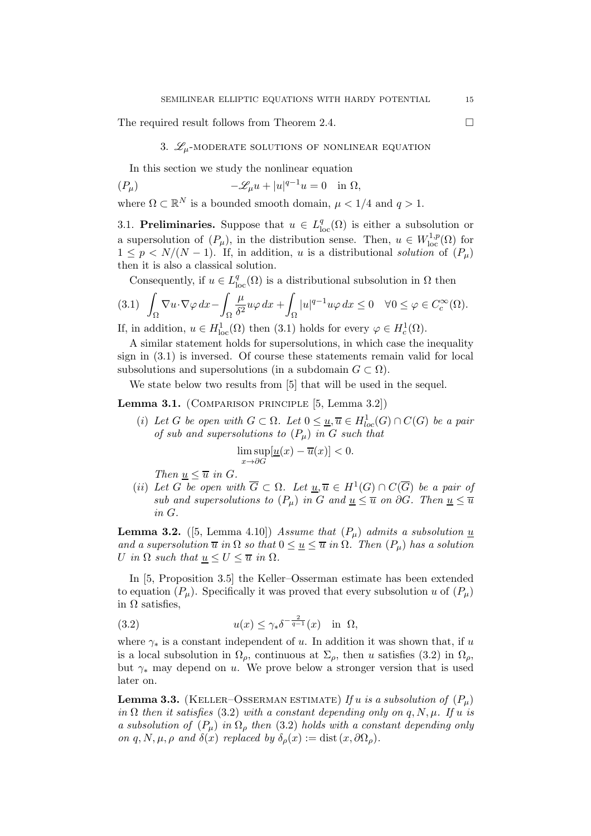The required result follows from Theorem 2.4.

# 3.  $\mathscr{L}_{\mu}$ -moderate solutions of nonlinear equation

In this section we study the nonlinear equation

$$
(P_{\mu}) \qquad \qquad -\mathscr{L}_{\mu}u + |u|^{q-1}u = 0 \quad \text{in } \Omega,
$$

where  $\Omega \subset \mathbb{R}^N$  is a bounded smooth domain,  $\mu < 1/4$  and  $q > 1$ .

3.1. **Preliminaries.** Suppose that  $u \in L^q_{loc}(\Omega)$  is either a subsolution or a supersolution of  $(P_\mu)$ , in the distribution sense. Then,  $u \in W^{1,p}_{loc}(\Omega)$  for  $1 \leq p \leq N/(N-1)$ . If, in addition, u is a distributional *solution* of  $(P_u)$ then it is also a classical solution.

Consequently, if  $u \in L^q_{loc}(\Omega)$  is a distributional subsolution in  $\Omega$  then

$$
(3.1) \int_{\Omega} \nabla u \cdot \nabla \varphi \, dx - \int_{\Omega} \frac{\mu}{\delta^2} u \varphi \, dx + \int_{\Omega} |u|^{q-1} u \varphi \, dx \le 0 \quad \forall 0 \le \varphi \in C_c^{\infty}(\Omega).
$$

If, in addition,  $u \in H^1_{loc}(\Omega)$  then (3.1) holds for every  $\varphi \in H^1_c(\Omega)$ .

A similar statement holds for supersolutions, in which case the inequality sign in (3.1) is inversed. Of course these statements remain valid for local subsolutions and supersolutions (in a subdomain  $G \subset \Omega$ ).

We state below two results from [5] that will be used in the sequel.

### Lemma 3.1. (Comparison principle [5, Lemma 3.2])

(i) Let *G* be open with  $G \subset \Omega$ . Let  $0 \leq \underline{u}, \overline{u} \in H^1_{loc}(G) \cap C(G)$  be a pair *of sub and supersolutions to* (Pµ) *in* G *such that*

$$
\limsup_{x \to \partial G} [ \underline{u}(x) - \overline{u}(x) ] < 0.
$$

*Then*  $u \leq \overline{u}$  *in G.* 

(*ii*) Let G be open with  $\overline{G} \subset \Omega$ . Let  $\underline{u}, \overline{u} \in H^1(G) \cap C(\overline{G})$  be a pair of *sub and supersolutions to*  $(P_\mu)$  *in G and*  $\underline{u} \leq \overline{u}$  *on*  $\partial G$ *. Then*  $\underline{u} \leq \overline{u}$ *in* G*.*

**Lemma 3.2.** ([5, Lemma 4.10]) *Assume that*  $(P_\mu)$  *admits a subsolution*  $\underline{u}$ *and a supersolution*  $\overline{u}$  *in*  $\Omega$  *so that*  $0 \leq \underline{u} \leq \overline{u}$  *in*  $\Omega$ *. Then*  $(P_{\mu})$  *has a solution* U in  $\Omega$  *such that*  $\underline{u} \leq U \leq \overline{u}$  *in*  $\Omega$ *.* 

In [5, Proposition 3.5] the Keller–Osserman estimate has been extended to equation  $(P_\mu)$ . Specifically it was proved that every subsolution u of  $(P_\mu)$ in  $Ω$  satisfies,

(3.2) 
$$
u(x) \le \gamma_* \delta^{-\frac{2}{q-1}}(x) \quad \text{in} \ \Omega,
$$

where  $\gamma_*$  is a constant independent of u. In addition it was shown that, if u is a local subsolution in  $\Omega_{\rho}$ , continuous at  $\Sigma_{\rho}$ , then u satisfies (3.2) in  $\Omega_{\rho}$ , but  $\gamma_*$  may depend on u. We prove below a stronger version that is used later on.

**Lemma 3.3.** (KELLER–OSSERMAN ESTIMATE) If u is a subsolution of  $(P_\mu)$ *in*  $\Omega$  *then it satisfies* (3.2) *with a constant depending only on* q, N,  $\mu$ *. If*  $u$  *is a subsolution of*  $(P_\mu)$  *in*  $\Omega_\rho$  *then* (3.2) *holds with a constant depending only on* q, N,  $\mu$ ,  $\rho$  *and*  $\delta(x)$  *replaced by*  $\delta_{\rho}(x) := \text{dist}(x, \partial \Omega_{\rho}).$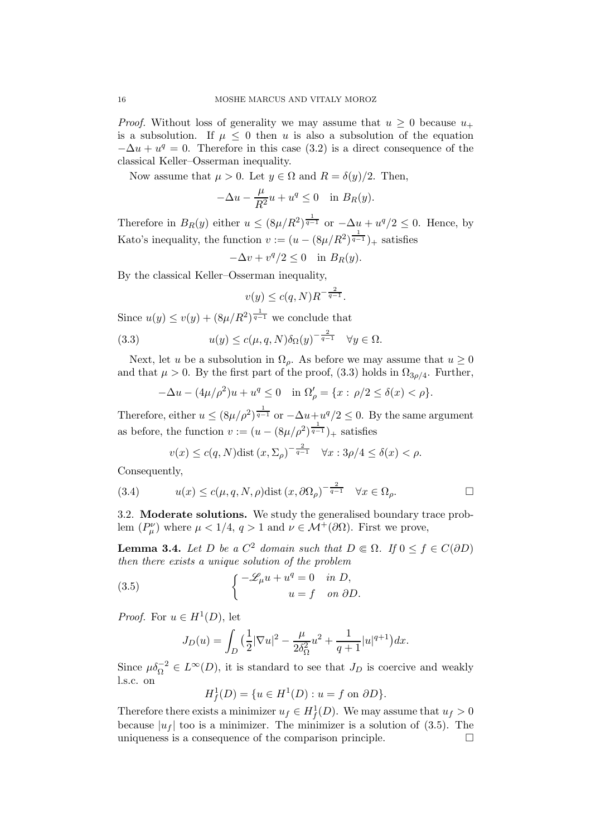*Proof.* Without loss of generality we may assume that  $u \geq 0$  because  $u_+$ is a subsolution. If  $\mu \leq 0$  then u is also a subsolution of the equation  $-\Delta u + u^q = 0$ . Therefore in this case (3.2) is a direct consequence of the classical Keller–Osserman inequality.

Now assume that  $\mu > 0$ . Let  $y \in \Omega$  and  $R = \delta(y)/2$ . Then,

$$
-\Delta u - \frac{\mu}{R^2}u + u^q \le 0 \quad \text{in } B_R(y).
$$

Therefore in  $B_R(y)$  either  $u \leq (8\mu/R^2)^{\frac{1}{q-1}}$  or  $-\Delta u + u^q/2 \leq 0$ . Hence, by Kato's inequality, the function  $v := (u - (8\mu/R^2)^{\frac{1}{q-1}})_+$  satisfies

$$
-\Delta v + v^q/2 \le 0 \quad \text{in } B_R(y).
$$

By the classical Keller–Osserman inequality,

$$
v(y) \le c(q,N)R^{-\frac{2}{q-1}}.
$$

Since  $u(y) \le v(y) + (8\mu/R^2)^{\frac{1}{q-1}}$  we conclude that

(3.3) 
$$
u(y) \le c(\mu, q, N)\delta_{\Omega}(y)^{-\frac{2}{q-1}} \quad \forall y \in \Omega.
$$

Next, let u be a subsolution in  $\Omega_{\rho}$ . As before we may assume that  $u \geq 0$ and that  $\mu > 0$ . By the first part of the proof, (3.3) holds in  $\Omega_{3\rho/4}$ . Further,

$$
-\Delta u - (4\mu/\rho^2)u + u^q \le 0 \quad \text{in } \Omega'_{\rho} = \{x : \rho/2 \le \delta(x) < \rho\}.
$$

Therefore, either  $u \leq (8\mu/\rho^2)^{\frac{1}{q-1}}$  or  $-\Delta u + u^q/2 \leq 0$ . By the same argument as before, the function  $v := (u - (8\mu/\rho^2)^{\frac{1}{q-1}})_+$  satisfies

$$
v(x) \le c(q, N)
$$
dist  $(x, \Sigma_\rho)^{-\frac{2}{q-1}} \quad \forall x : 3\rho/4 \le \delta(x) < \rho.$ 

Consequently,

(3.4) 
$$
u(x) \le c(\mu, q, N, \rho) \text{dist}(x, \partial \Omega_{\rho})^{-\frac{2}{q-1}} \quad \forall x \in \Omega_{\rho}.
$$

3.2. Moderate solutions. We study the generalised boundary trace problem  $(P^{\nu}_{\mu})$  where  $\mu < 1/4$ ,  $q > 1$  and  $\nu \in \mathcal{M}^{+}(\partial \Omega)$ . First we prove,

**Lemma 3.4.** *Let* D *be a*  $C^2$  *domain such that*  $D \in \Omega$ *. If*  $0 \le f \in C(\partial D)$ *then there exists a unique solution of the problem*

(3.5) 
$$
\begin{cases}\n-\mathscr{L}_{\mu}u + u^{q} = 0 & \text{in } D, \\
u = f & \text{on } \partial D.\n\end{cases}
$$

*Proof.* For  $u \in H^1(D)$ , let

$$
J_D(u) = \int_D \left(\frac{1}{2}|\nabla u|^2 - \frac{\mu}{2\delta_{\Omega}^2}u^2 + \frac{1}{q+1}|u|^{q+1}\right)dx.
$$

Since  $\mu \delta_{\Omega}^{-2} \in L^{\infty}(D)$ , it is standard to see that  $J_D$  is coercive and weakly l.s.c. on

$$
H_f^1(D) = \{ u \in H^1(D) : u = f \text{ on } \partial D \}.
$$

Therefore there exists a minimizer  $u_f \in H_f^1(D)$ . We may assume that  $u_f > 0$ because  $|u_f|$  too is a minimizer. The minimizer is a solution of (3.5). The uniqueness is a consequence of the comparison principle.  $\Box$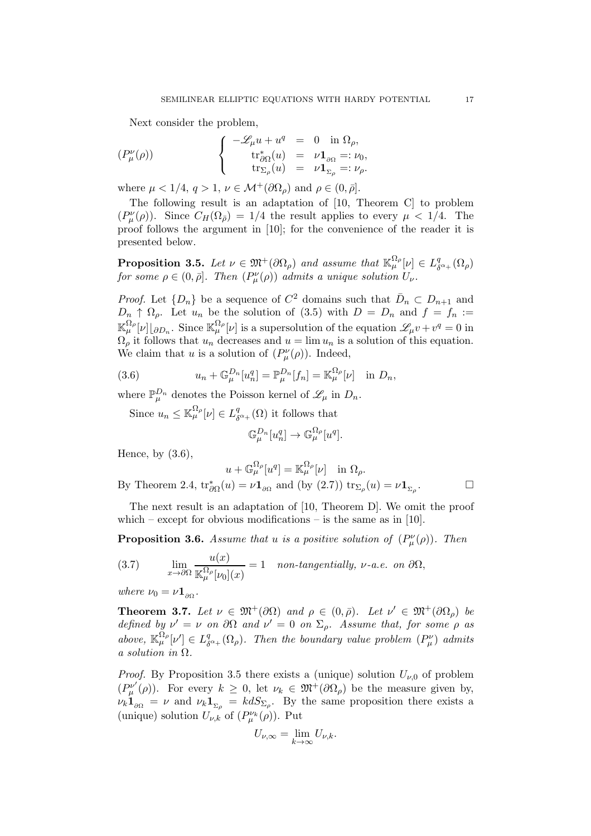Next consider the problem,

$$
(P_{\mu}^{\nu}(\rho)) \qquad \qquad \left\{ \begin{array}{rcl} -\mathscr{L}_{\mu}u + u^{q} & = & 0 & \text{in } \Omega_{\rho}, \\ & & \mathrm{tr}^{*}_{\partial\Omega}(u) & = & \nu\mathbf{1}_{\partial\Omega} =: \nu_{0}, \\ & & \mathrm{tr}_{\Sigma_{\rho}}(u) & = & \nu\mathbf{1}_{\Sigma_{\rho}} =: \nu_{\rho}. \end{array} \right.
$$

where  $\mu < 1/4$ ,  $q > 1$ ,  $\nu \in \mathcal{M}^+(\partial\Omega_\rho)$  and  $\rho \in (0, \bar{\rho}]$ .

The following result is an adaptation of [10, Theorem C] to problem  $(P^{\nu}_{\mu}(\rho))$ . Since  $C_H(\Omega_{\bar{\rho}}) = 1/4$  the result applies to every  $\mu < 1/4$ . The proof follows the argument in [10]; for the convenience of the reader it is presented below.

Proposition 3.5. Let  $\nu \in \mathfrak{M}^+(\partial \Omega_\rho)$  and assume that  $\mathbb{K}_{\mu}^{\Omega_\rho}[\nu] \in L^q_\delta$  $^q_{\delta^{\alpha_+}}(\Omega_\rho)$ *for some*  $\rho \in (0, \bar{\rho}]$ *. Then*  $(P^{\nu}_{\mu}(\rho))$  *admits a unique solution*  $U_{\nu}$ *.* 

*Proof.* Let  $\{D_n\}$  be a sequence of  $C^2$  domains such that  $\bar{D}_n \subset D_{n+1}$  and  $D_n \uparrow \Omega_{\rho}$ . Let  $u_n$  be the solution of (3.5) with  $D = D_n$  and  $f = f_n :=$  $\mathbb{K}_{\mu}^{\Omega_{\rho}}[\nu] \otimes_{D_n} \Omega$ . Since  $\mathbb{K}_{\mu}^{\Omega_{\rho}}[\nu]$  is a supersolution of the equation  $\mathscr{L}_{\mu}v + v^q = 0$  in  $\Omega_{\rho}$  it follows that  $u_n$  decreases and  $u = \lim u_n$  is a solution of this equation. We claim that u is a solution of  $(P^{\nu}_{\mu}(\rho))$ . Indeed,

(3.6) 
$$
u_n + \mathbb{G}_{\mu}^{D_n}[u_n^q] = \mathbb{P}_{\mu}^{D_n}[f_n] = \mathbb{K}_{\mu}^{\Omega_{\rho}}[\nu] \text{ in } D_n,
$$

where  $\mathbb{P}_{\mu}^{D_n}$  denotes the Poisson kernel of  $\mathscr{L}_{\mu}$  in  $D_n$ .

Since  $u_n \leq \mathbb{K}_{\mu}^{\Omega_{\rho}}[\nu] \in L_{\delta}^q$  $\delta^q_{\delta^{\alpha+}}(\Omega)$  it follows that

$$
\mathbb{G}_{\mu}^{D_n}[u_n^q] \to \mathbb{G}_{\mu}^{\Omega_\rho}[u^q].
$$

Hence, by  $(3.6)$ ,

 $Bv$ 

$$
u + \mathbb{G}_{\mu}^{\Omega_{\rho}}[u^q] = \mathbb{K}_{\mu}^{\Omega_{\rho}}[\nu] \text{ in } \Omega_{\rho}.
$$
  
Theorem 2.4,  $\text{tr}_{\partial\Omega}^*(u) = \nu \mathbf{1}_{\partial\Omega}$  and (by (2.7))  $\text{tr}_{\Sigma_{\rho}}(u) = \nu \mathbf{1}_{\Sigma_{\rho}}.$ 

The next result is an adaptation of [10, Theorem D]. We omit the proof which – except for obvious modifications – is the same as in  $[10]$ .

**Proposition 3.6.** Assume that u is a positive solution of  $(P^{\nu}_{\mu}(\rho))$ . Then

(3.7) 
$$
\lim_{x \to \partial \Omega} \frac{u(x)}{\mathbb{K}_{\mu}^{\Omega_{\rho}}[\nu_0](x)} = 1 \quad \text{non-tangentially, } \nu\text{-}a.e. \text{ on } \partial\Omega,
$$

*where*  $\nu_0 = \nu \mathbf{1}_{\partial \Omega}$ .

**Theorem 3.7.** Let  $\nu \in \mathfrak{M}^+(\partial\Omega)$  and  $\rho \in (0,\bar{\rho})$ . Let  $\nu' \in \mathfrak{M}^+(\partial\Omega_\rho)$  be *defined by*  $\nu' = \nu$  *on*  $\partial\Omega$  *and*  $\nu' = 0$  *on*  $\Sigma_{\rho}$ *. Assume that, for some*  $\rho$  *as above*,  $\mathbb{K}_{\mu}^{\Omega_{\rho}}[\nu'] \in L_{\delta}^q$  $\delta_{\alpha+}^q(\Omega_\rho)$ . Then the boundary value problem  $(P^\nu_\mu)$  admits *a solution in* Ω*.*

*Proof.* By Proposition 3.5 there exists a (unique) solution  $U_{\nu,0}$  of problem  $(P^{\nu'}_{\mu}(\rho))$ . For every  $k \geq 0$ , let  $\nu_k \in \mathfrak{M}^+(\partial\Omega_\rho)$  be the measure given by,  $\nu_k \mathbf{1}_{\partial \Omega} = \nu$  and  $\nu_k \mathbf{1}_{\Sigma_\rho} = k dS_{\Sigma_\rho}$ . By the same proposition there exists a (unique) solution  $U_{\nu,k}$  of  $(P^{\nu_k}_{\mu}(\rho))$ . Put

$$
U_{\nu,\infty} = \lim_{k \to \infty} U_{\nu,k}.
$$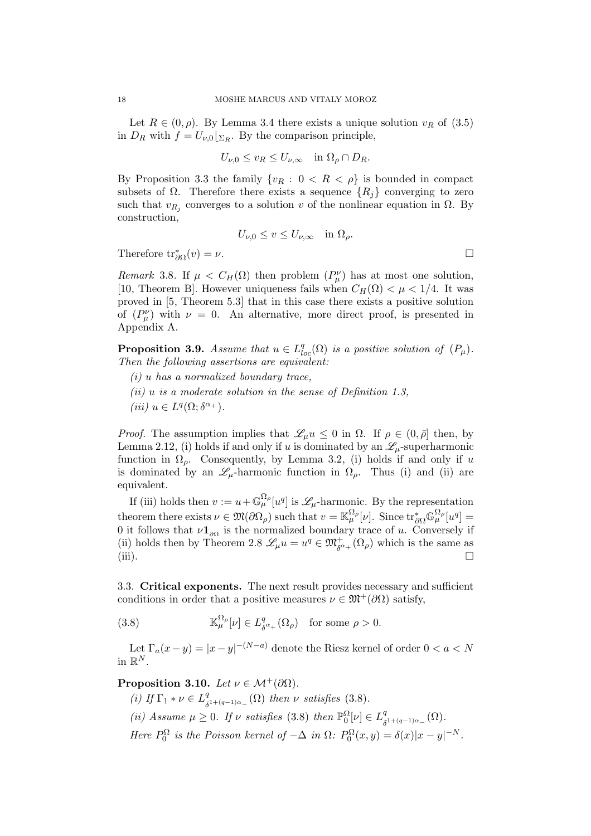Let  $R \in (0, \rho)$ . By Lemma 3.4 there exists a unique solution  $v_R$  of  $(3.5)$ in  $D_R$  with  $f = U_{\nu,0} \vert_{\Sigma_R}$ . By the comparison principle,

$$
U_{\nu,0} \le v_R \le U_{\nu,\infty}
$$
 in  $\Omega_\rho \cap D_R$ .

By Proposition 3.3 the family  $\{v_R : 0 < R < \rho\}$  is bounded in compact subsets of  $\Omega$ . Therefore there exists a sequence  $\{R_i\}$  converging to zero such that  $v_{R_j}$  converges to a solution v of the nonlinear equation in  $\Omega$ . By construction,

$$
U_{\nu,0} \leq v \leq U_{\nu,\infty}
$$
 in  $\Omega_{\rho}$ .

Therefore  $\text{tr}_{\partial\Omega}^*(v) = \nu$ .

*Remark* 3.8. If  $\mu < C_H(\Omega)$  then problem  $(P^{\nu}_{\mu})$  has at most one solution, [10, Theorem B]. However uniqueness fails when  $C_H(\Omega) < \mu < 1/4$ . It was proved in [5, Theorem 5.3] that in this case there exists a positive solution of  $(P^{\nu}_{\mu})$  with  $\nu = 0$ . An alternative, more direct proof, is presented in Appendix A.

**Proposition 3.9.** *Assume that*  $u \in L^q_{loc}(\Omega)$  *is a positive solution of*  $(P_\mu)$ *. Then the following assertions are equivalent:*

- *(i)* u *has a normalized boundary trace,*
- *(ii)* u *is a moderate solution in the sense of Definition 1.3,*
- $(iii) u \in L^q(\Omega; \delta^{\alpha_+}).$

*Proof.* The assumption implies that  $\mathscr{L}_{\mu}u \leq 0$  in  $\Omega$ . If  $\rho \in (0, \bar{\rho}]$  then, by Lemma 2.12, (i) holds if and only if u is dominated by an  $\mathscr{L}_{\mu}$ -superharmonic function in  $\Omega_{\rho}$ . Consequently, by Lemma 3.2, (i) holds if and only if u is dominated by an  $\mathscr{L}_{\mu}$ -harmonic function in  $\Omega_{\rho}$ . Thus (i) and (ii) are equivalent.

If (iii) holds then  $v := u + \mathbb{G}_{\mu}^{\Omega_{\rho}}[u^q]$  is  $\mathscr{L}_{\mu}$ -harmonic. By the representation theorem there exists  $\nu \in \mathfrak{M}(\partial \Omega_\rho)$  such that  $v = \mathbb{K}_{\mu}^{\Omega_\rho}[\nu]$ . Since  $\text{tr}^*_{\partial \Omega} \mathbb{G}_{\mu}^{\Omega_\rho}[\nu] =$ 0 it follows that  $\nu\mathbf{1}_{\partial\Omega}$  is the normalized boundary trace of u. Conversely if (ii) holds then by Theorem 2.8  $\mathscr{L}_{\mu}u = u^q \in \mathfrak{M}^+_{\delta^{q+}}(\Omega_\rho)$  which is the same as (iii).  $\Box$ 

3.3. Critical exponents. The next result provides necessary and sufficient conditions in order that a positive measures  $\nu \in \mathfrak{M}^+(\partial\Omega)$  satisfy,

(3.8) 
$$
\mathbb{K}_{\mu}^{\Omega_{\rho}}[\nu] \in L_{\delta^{\alpha_{+}}}^{q}(\Omega_{\rho}) \text{ for some } \rho > 0.
$$

Let  $\Gamma_a(x-y) = |x-y|^{-(N-a)}$  denote the Riesz kernel of order  $0 < a < N$ in  $\mathbb{R}^N$ .

**Proposition 3.10.** *Let*  $\nu \in \mathcal{M}^+(\partial\Omega)$ *.* 

*(i)* If  $\Gamma_1 * \nu \in L^q$  $S_{\delta^{1+(q-1)\alpha_{-}}}^q(\Omega)$  then  $\nu$  satisfies (3.8). (*ii*) Assume  $\mu \geq 0$ . If v satisfies (3.8) then  $\mathbb{P}_0^{\Omega}[\nu] \in L^q_{\delta}$  $^q_{\delta^{1+(q-1)\alpha_-}}(\Omega).$ *Here*  $P_0^{\Omega}$  *is the Poisson kernel of*  $-\Delta$  *in*  $\Omega$ *:*  $P_0^{\Omega}(x, y) = \delta(x)|x - y|^{-N}$ *.*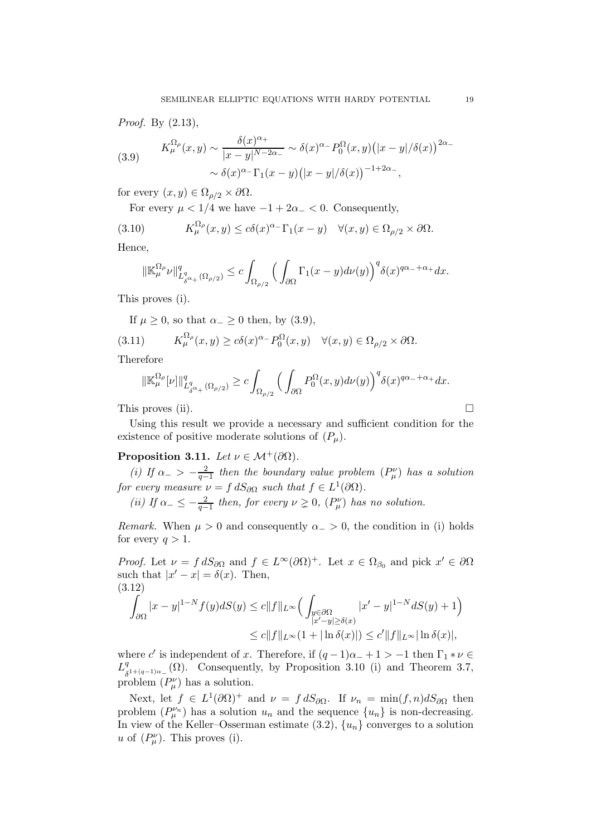*Proof.* By (2.13),

(3.9) 
$$
K^{\Omega_{\rho}}_{\mu}(x,y) \sim \frac{\delta(x)^{\alpha_{+}}}{|x-y|^{N-2\alpha_{-}}} \sim \delta(x)^{\alpha_{-}} P_{0}^{\Omega}(x,y) \left(|x-y|/\delta(x)\right)^{2\alpha_{-}} \sim \delta(x)^{\alpha_{-}} \Gamma_{1}(x-y) \left(|x-y|/\delta(x)\right)^{-1+2\alpha_{-}},
$$

for every  $(x, y) \in \Omega_{\rho/2} \times \partial \Omega$ .

For every  $\mu < 1/4$  we have  $-1+2\alpha_- < 0$ . Consequently,

(3.10) 
$$
K^{\Omega_{\rho}}_{\mu}(x,y) \le c\delta(x)^{\alpha_{-}}\Gamma_1(x-y) \quad \forall (x,y) \in \Omega_{\rho/2} \times \partial\Omega.
$$

Hence,

$$
\|\mathbb{K}_{\mu}^{\Omega_{\rho}}\nu\|_{L^q_{\delta^{\alpha_+}}(\Omega_{\rho/2})}^q \leq c \int_{\Omega_{\rho/2}} \Big(\int_{\partial\Omega} \Gamma_1(x-y) d\nu(y)\Big)^q \delta(x)^{q\alpha_-+\alpha_+} dx.
$$

This proves (i).

If  $\mu \geq 0$ , so that  $\alpha_{-} \geq 0$  then, by (3.9),

(3.11) 
$$
K_{\mu}^{\Omega_{\rho}}(x,y) \ge c\delta(x)^{\alpha_{-}} P_{0}^{\Omega}(x,y) \quad \forall (x,y) \in \Omega_{\rho/2} \times \partial \Omega.
$$

Therefore

$$
\|\mathbb{K}_{\mu}^{\Omega_{\rho}}[\nu]\|_{L^q_{\delta^{\alpha_+}}(\Omega_{\rho/2})}^q \geq c \int_{\Omega_{\rho/2}} \Big(\int_{\partial\Omega} P_0^{\Omega}(x,y) d\nu(y)\Big)^q \delta(x)^{q\alpha_-+\alpha_+} dx.
$$

This proves (ii).  $\Box$ 

Using this result we provide a necessary and sufficient condition for the existence of positive moderate solutions of  $(P_\mu)$ .

## **Proposition 3.11.** *Let*  $\nu \in \mathcal{M}^+(\partial\Omega)$ *.*

*(i)* If  $\alpha_{-} > -\frac{2}{a-}$  $\frac{2}{q-1}$  then the boundary value problem  $(P^{\nu}_{\mu})$  has a solution *for every measure*  $\nu = f dS_{\partial\Omega}$  *such that*  $f \in L^1(\partial\Omega)$ *.* 

(*ii*) If  $\alpha_- \leq -\frac{2}{q-1}$  then, for every  $\nu \geq 0$ ,  $(P_\mu^\nu)$  has no solution.

*Remark.* When  $\mu > 0$  and consequently  $\alpha > 0$ , the condition in (i) holds for every  $q > 1$ .

*Proof.* Let  $\nu = f dS_{\partial\Omega}$  and  $f \in L^{\infty}(\partial\Omega)^{+}$ . Let  $x \in \Omega_{\beta_0}$  and pick  $x' \in \partial\Omega$ such that  $|x'-x| = \delta(x)$ . Then, (3.12)

$$
\int_{\partial\Omega} |x-y|^{1-N} f(y) dS(y) \le c \|f\|_{L^{\infty}} \Big( \int_{\substack{y\in\partial\Omega \\ |x'-y|\ge \delta(x)}} |x'-y|^{1-N} dS(y) + 1 \Big)
$$
  

$$
\le c \|f\|_{L^{\infty}} (1 + |\ln \delta(x)|) \le c' \|f\|_{L^{\infty}} |\ln \delta(x)|,
$$

where c' is independent of x. Therefore, if  $(q-1)\alpha_{-}+1 > -1$  then  $\Gamma_1 * \nu \in$  $L^q_s$  $\delta^{1+(q-1)\alpha}$  (Ω). Consequently, by Proposition 3.10 (i) and Theorem 3.7, problem  $(P^{\nu}_{\mu})$  has a solution.

Next, let  $f \in L^1(\partial\Omega)^+$  and  $\nu = f dS_{\partial\Omega}$ . If  $\nu_n = \min(f, n) dS_{\partial\Omega}$  then problem  $(P^{\nu_n}_{\mu})$  has a solution  $u_n$  and the sequence  $\{u_n\}$  is non-decreasing. In view of the Keller–Osserman estimate  $(3.2)$ ,  $\{u_n\}$  converges to a solution u of  $(P^{\nu}_{\mu})$ . This proves (i).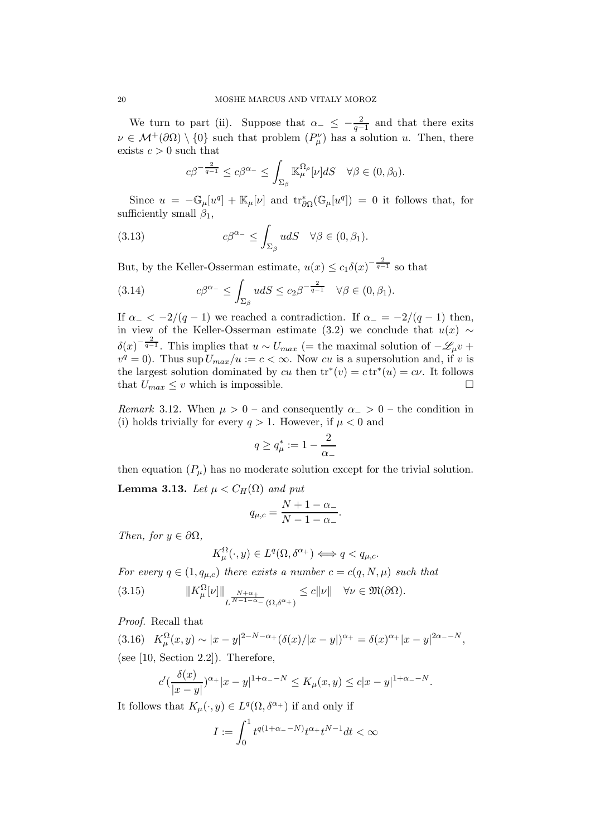We turn to part (ii). Suppose that  $\alpha_- \leq -\frac{2}{q-1}$  and that there exits  $\nu \in \mathcal{M}^+(\partial\Omega) \setminus \{0\}$  such that problem  $(P_\mu^\nu)$  has a solution u. Then, there exists  $c > 0$  such that

$$
c\beta^{-\frac{2}{q-1}} \leq c\beta^{\alpha_{-}} \leq \int_{\Sigma_{\beta}} \mathbb{K}_{\mu}^{\Omega_{\rho}}[\nu] dS \quad \forall \beta \in (0, \beta_{0}).
$$

Since  $u = -\mathbb{G}_{\mu}[u^q] + \mathbb{K}_{\mu}[\nu]$  and  $\text{tr}_{\partial\Omega}^*(\mathbb{G}_{\mu}[u^q]) = 0$  it follows that, for sufficiently small  $\beta_1$ ,

(3.13) 
$$
c\beta^{\alpha_-} \leq \int_{\Sigma_{\beta}} u dS \quad \forall \beta \in (0, \beta_1).
$$

But, by the Keller-Osserman estimate,  $u(x) \le c_1 \delta(x)^{-\frac{2}{q-1}}$  so that

(3.14) 
$$
c\beta^{\alpha_-} \leq \int_{\Sigma_{\beta}} u dS \leq c_2 \beta^{-\frac{2}{q-1}} \quad \forall \beta \in (0, \beta_1).
$$

If  $\alpha_- < -2/(q-1)$  we reached a contradiction. If  $\alpha_- = -2/(q-1)$  then, in view of the Keller-Osserman estimate (3.2) we conclude that  $u(x) \sim$  $\delta(x)^{-\frac{2}{q-1}}$ . This implies that  $u \sim U_{max}$  (= the maximal solution of  $-\mathscr{L}_{\mu}v$  +  $v^q = 0$ ). Thus sup  $U_{max}/u := c < \infty$ . Now cu is a supersolution and, if v is the largest solution dominated by cu then  $\text{tr}^*(v) = c \text{tr}^*(u) = c \nu$ . It follows that  $U_{max} \leq v$  which is impossible.  $\square$ 

*Remark* 3.12. When  $\mu > 0$  – and consequently  $\alpha_{-} > 0$  – the condition in (i) holds trivially for every  $q > 1$ . However, if  $\mu < 0$  and

$$
q\geq q_{\mu}^*:=1-\frac{2}{\alpha_-}
$$

then equation  $(P_\mu)$  has no moderate solution except for the trivial solution. **Lemma 3.13.** *Let*  $\mu < C_H(\Omega)$  *and put* 

$$
q_{\mu,c} = \frac{N+1-\alpha_-}{N-1-\alpha_-}.
$$

*Then, for*  $y \in \partial\Omega$ *,* 

$$
K^{\Omega}_{\mu}(\cdot, y) \in L^{q}(\Omega, \delta^{\alpha+}) \Longleftrightarrow q < q_{\mu,c}.
$$

*For every*  $q \in (1, q_{\mu,c})$  *there exists a number*  $c = c(q, N, \mu)$  *such that* (3.15)  $||K_{\mu}^{\Omega}[\nu]||$ L  $\frac{N+\alpha_+}{N-1-\alpha_-}(\Omega,\delta^{\alpha_+})$  $\leq c\|\nu\| \quad \forall \nu \in \mathfrak{M}(\partial\Omega).$ 

*Proof.* Recall that

(3.16)  $K_{\mu}^{\Omega}(x, y) \sim |x - y|^{2-N-\alpha_+} (\delta(x)/|x - y|)^{\alpha_+} = \delta(x)^{\alpha_+}|x - y|^{2\alpha_- - N},$ (see [10, Section 2.2]). Therefore,

$$
c'(\frac{\delta(x)}{|x-y|})^{\alpha+}|x-y|^{1+\alpha-|N|} \le K_{\mu}(x,y) \le c|x-y|^{1+\alpha-|N|}.
$$

It follows that  $K_{\mu}(\cdot, y) \in L^{q}(\Omega, \delta^{\alpha_{+}})$  if and only if

$$
I:=\int_0^1 t^{q(1+\alpha_--N)}t^{\alpha_+}t^{N-1}dt<\infty
$$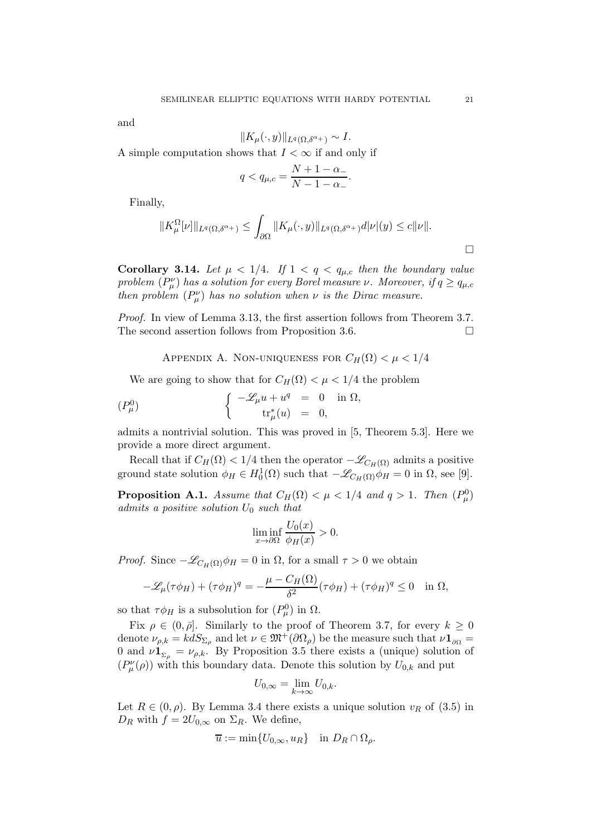and

$$
||K_{\mu}(\cdot,y)||_{L^{q}(\Omega,\delta^{\alpha_{+}})} \sim I.
$$

A simple computation shows that  $I < \infty$  if and only if

$$
q < q_{\mu,c} = \frac{N+1-\alpha_-}{N-1-\alpha_-}.
$$

Finally,

$$
||K^{\Omega}_{\mu}[\nu]||_{L^{q}(\Omega,\delta^{\alpha_{+}})} \leq \int_{\partial\Omega} ||K_{\mu}(\cdot,y)||_{L^{q}(\Omega,\delta^{\alpha_{+}})} d|\nu|(y) \leq c||\nu||.
$$

**Corollary 3.14.** Let  $\mu < 1/4$ . If  $1 < q < q_{\mu,c}$  then the boundary value *problem*  $(P^{\nu}_{\mu})$  *has a solution for every Borel measure*  $\nu$ *. Moreover, if*  $q \geq q_{\mu,c}$ *then problem*  $(P^{\nu}_{\mu})$  *has no solution when*  $\nu$  *is the Dirac measure.* 

*Proof.* In view of Lemma 3.13, the first assertion follows from Theorem 3.7. The second assertion follows from Proposition 3.6.

APPENDIX A. NON-UNIQUENESS FOR  $C_H(\Omega) < \mu < 1/4$ 

We are going to show that for  $C_H(\Omega) < \mu < 1/4$  the problem

$$
(P^0_\mu) \qquad \qquad \left\{ \begin{array}{rcl} -\mathscr{L}_\mu u + u^q & = & 0 \quad \text{in} \ \Omega, \\ t r^*_\mu(u) & = & 0, \end{array} \right.
$$

admits a nontrivial solution. This was proved in [5, Theorem 5.3]. Here we provide a more direct argument.

Recall that if  $C_H(\Omega) < 1/4$  then the operator  $-\mathscr{L}_{C_H(\Omega)}$  admits a positive ground state solution  $\phi_H \in H_0^1(\Omega)$  such that  $-\mathscr{L}_{C_H(\Omega)} \dot{\phi}_H = 0$  in  $\Omega$ , see [9].

**Proposition A.1.** *Assume that*  $C_H(\Omega) < \mu < 1/4$  *and*  $q > 1$ *. Then*  $(P^0_\mu)$ *admits a positive solution* U<sup>0</sup> *such that*

$$
\liminf_{x \to \partial \Omega} \frac{U_0(x)}{\phi_H(x)} > 0.
$$

*Proof.* Since  $-\mathscr{L}_{C_H(\Omega)}\phi_H = 0$  in  $\Omega$ , for a small  $\tau > 0$  we obtain

$$
-\mathscr{L}_{\mu}(\tau\phi_H) + (\tau\phi_H)^q = -\frac{\mu - C_H(\Omega)}{\delta^2}(\tau\phi_H) + (\tau\phi_H)^q \le 0 \quad \text{in } \Omega,
$$

so that  $\tau \phi_H$  is a subsolution for  $(P^0_\mu)$  in  $\Omega$ .

Fix  $\rho \in (0, \bar{\rho}]$ . Similarly to the proof of Theorem 3.7, for every  $k \geq 0$ denote  $\nu_{\rho,k} = k dS_{\Sigma_{\rho}}$  and let  $\nu \in \mathfrak{M}^+(\partial \Omega_\rho)$  be the measure such that  $\nu \mathbf{1}_{\partial \Omega} =$ 0 and  $\nu \mathbf{1}_{\Sigma_o} = \nu_{\rho,k}$ . By Proposition 3.5 there exists a (unique) solution of  $(P^{\nu}_{\mu}(\rho))$  with this boundary data. Denote this solution by  $U_{0,k}$  and put

$$
U_{0,\infty} = \lim_{k \to \infty} U_{0,k}.
$$

Let  $R \in (0, \rho)$ . By Lemma 3.4 there exists a unique solution  $v_R$  of (3.5) in  $D_R$  with  $f = 2U_{0,\infty}$  on  $\Sigma_R$ . We define,

$$
\overline{u} := \min\{U_{0,\infty}, u_R\} \quad \text{in } D_R \cap \Omega_\rho.
$$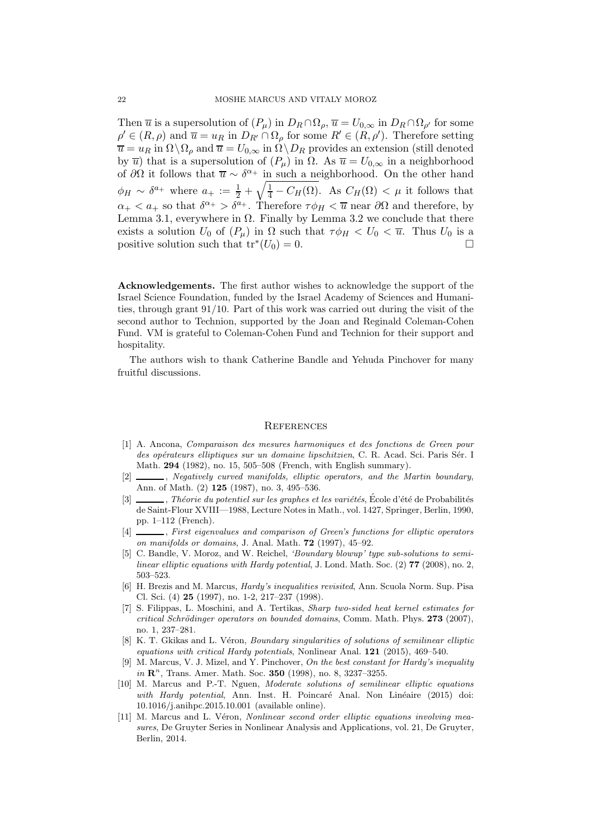Then  $\overline{u}$  is a supersolution of  $(P_\mu)$  in  $D_R \cap \Omega_\rho$ ,  $\overline{u} = U_{0,\infty}$  in  $D_R \cap \Omega_{\rho'}$  for some  $\rho' \in (R, \rho)$  and  $\overline{u} = u_R$  in  $D_{R'} \cap \Omega_\rho$  for some  $R' \in (R, \rho')$ . Therefore setting  $\overline{u} = u_R$  in  $\Omega \backslash \Omega_\rho$  and  $\overline{u} = U_{0,\infty}$  in  $\Omega \backslash D_R$  provides an extension (still denoted by  $\overline{u}$ ) that is a supersolution of  $(P_{\mu})$  in  $\Omega$ . As  $\overline{u} = U_{0,\infty}$  in a neighborhood of  $\partial\Omega$  it follows that  $\overline{u} \sim \delta^{\alpha_+}$  in such a neighborhood. On the other hand  $\phi_H \sim \delta^{a_+}$  where  $a_+ := \frac{1}{2} + \sqrt{\frac{1}{4} - C_H(\Omega)}$ . As  $C_H(\Omega) < \mu$  it follows that  $\alpha_+ < a_+$  so that  $\delta^{\alpha_+} > \delta^{a_+}$ . Therefore  $\tau \phi_H < \overline{u}$  near  $\partial \Omega$  and therefore, by Lemma 3.1, everywhere in  $\Omega$ . Finally by Lemma 3.2 we conclude that there exists a solution  $U_0$  of  $(P_\mu)$  in  $\Omega$  such that  $\tau \phi_H < U_0 < \overline{u}$ . Thus  $U_0$  is a positive solution such that  $tr^*(U_0) = 0$ .

Acknowledgements. The first author wishes to acknowledge the support of the Israel Science Foundation, funded by the Israel Academy of Sciences and Humanities, through grant 91/10. Part of this work was carried out during the visit of the second author to Technion, supported by the Joan and Reginald Coleman-Cohen Fund. VM is grateful to Coleman-Cohen Fund and Technion for their support and hospitality.

The authors wish to thank Catherine Bandle and Yehuda Pinchover for many fruitful discussions.

#### **REFERENCES**

- [1] A. Ancona, Comparaison des mesures harmoniques et des fonctions de Green pour des opérateurs elliptiques sur un domaine lipschitzien, C. R. Acad. Sci. Paris Sér. I Math. 294 (1982), no. 15, 505–508 (French, with English summary).
- [2]  $\_\_\_\_\_\$ n, Negatively curved manifolds, elliptic operators, and the Martin boundary, Ann. of Math. (2) 125 (1987), no. 3, 495–536.
- [3]  $\_\_\_\_\_\$ , Théorie du potentiel sur les graphes et les variétés, École d'été de Probabilités de Saint-Flour XVIII—1988, Lecture Notes in Math., vol. 1427, Springer, Berlin, 1990, pp. 1–112 (French).
- [4]  $\Box$ , First eigenvalues and comparison of Green's functions for elliptic operators on manifolds or domains, J. Anal. Math. 72 (1997), 45–92.
- [5] C. Bandle, V. Moroz, and W. Reichel, 'Boundary blowup' type sub-solutions to semilinear elliptic equations with Hardy potential, J. Lond. Math. Soc.  $(2)$  77  $(2008)$ , no. 2, 503–523.
- [6] H. Brezis and M. Marcus, Hardy's inequalities revisited, Ann. Scuola Norm. Sup. Pisa Cl. Sci. (4) 25 (1997), no. 1-2, 217–237 (1998).
- [7] S. Filippas, L. Moschini, and A. Tertikas, Sharp two-sided heat kernel estimates for  $critical Schrödinaer operators on bounded domains, Comm. Math. Phys. 273 (2007).$ no. 1, 237–281.
- [8] K. T. Gkikas and L. Véron, *Boundary singularities of solutions of semilinear elliptic* equations with critical Hardy potentials, Nonlinear Anal. 121 (2015), 469–540.
- [9] M. Marcus, V. J. Mizel, and Y. Pinchover, On the best constant for Hardy's inequality  $in \mathbb{R}^n$ , Trans. Amer. Math. Soc. 350 (1998), no. 8, 3237-3255.
- [10] M. Marcus and P.-T. Nguen, Moderate solutions of semilinear elliptic equations with Hardy potential, Ann. Inst. H. Poincaré Anal. Non Linéaire (2015) doi: 10.1016/j.anihpc.2015.10.001 (available online).
- [11] M. Marcus and L. Véron, Nonlinear second order elliptic equations involving measures, De Gruyter Series in Nonlinear Analysis and Applications, vol. 21, De Gruyter, Berlin, 2014.